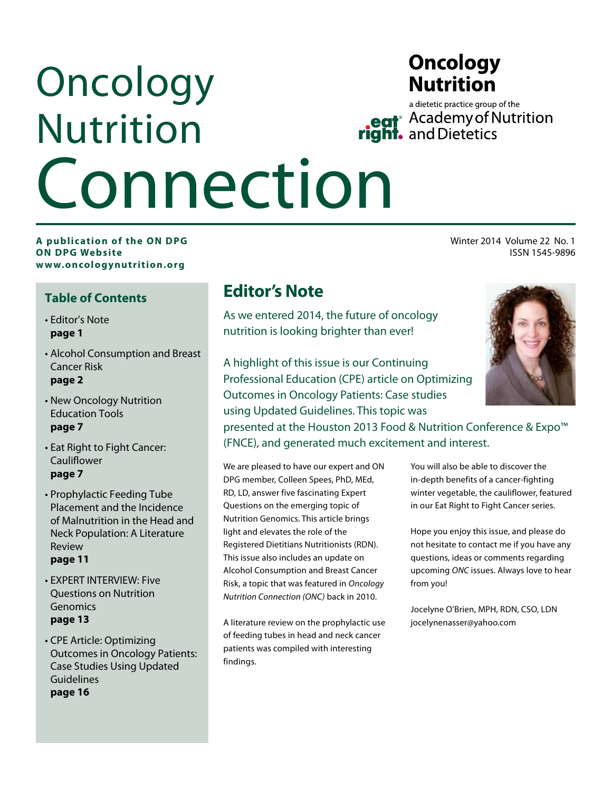## **Oncology** Oncology **Nutrition** a dietetic practice group of the **eat** Academy of Nutrition Nutrition Connection

#### Winter 2014 Volume 22 No. 1 issn 1545-9896

**A public ation of the ON DPG ON DPG Website www.oncologynutrition.org**

### **Table of Contents**

- Editor's Note **page 1**
- Alcohol Consumption and Breast Cancer Risk **page 2**
- New Oncology Nutrition Education Tools **page 7**
- Eat Right to Fight Cancer: Cauliflower **page 7**
- Prophylactic Feeding Tube Placement and the Incidence of Malnutrition in the Head and Neck Population: A Literature Review **page 11**
- EXPERT INTERVIEW: Five Questions on Nutrition Genomics **page 13**
- CPE Article: Optimizing Outcomes in Oncology Patients: Case Studies Using Updated **Guidelines page 16**

### **Editor's Note**

As we entered 2014, the future of oncology nutrition is looking brighter than ever!

A highlight of this issue is our Continuing Professional Education (CPE) article on Optimizing Outcomes in Oncology Patients: Case studies using Updated Guidelines. This topic was presented at the Houston 2013 Food & Nutrition Conference & Expo™ (FNCE), and generated much excitement and interest.

We are pleased to have our expert and ON DPG member, Colleen Spees, PhD, MEd, RD, LD, answer five fascinating Expert Questions on the emerging topic of Nutrition Genomics. This article brings light and elevates the role of the Registered Dietitians Nutritionists (RDN). This issue also includes an update on Alcohol Consumption and Breast Cancer Risk, a topic that was featured in *Oncology Nutrition Connection (ONC)* back in 2010.

A literature review on the prophylactic use of feeding tubes in head and neck cancer patients was compiled with interesting findings.

You will also be able to discover the in-depth benefits of a cancer-fighting winter vegetable, the cauliflower, featured in our Eat Right to Fight Cancer series.

Hope you enjoy this issue, and please do not hesitate to contact me if you have any questions, ideas or comments regarding upcoming *ONC* issues. Always love to hear from you!

Jocelyne O'Brien, MPH, RDN, CSO, LDN jocelynenasser@yahoo.com

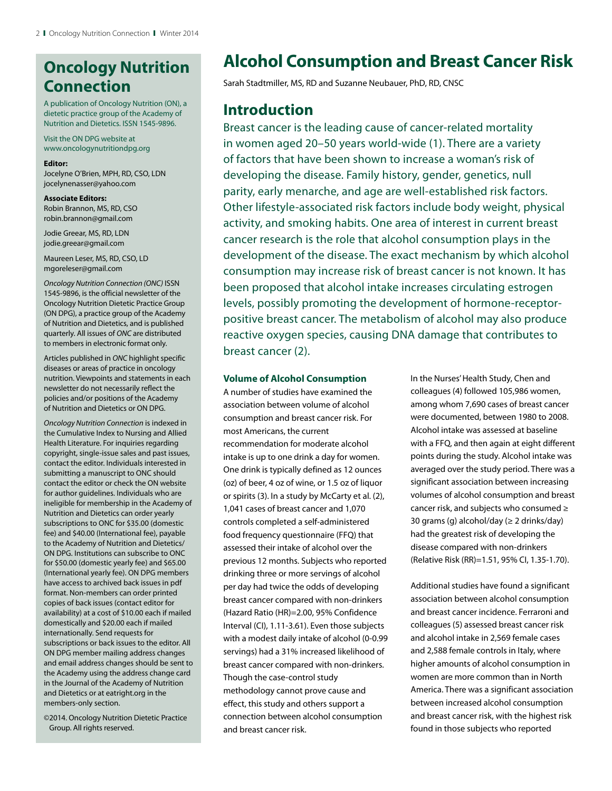### **Oncology Nutrition Connection**

A publication of Oncology Nutrition (ON), a dietetic practice group of the Academy of Nutrition and Dietetics. ISSN 1545-9896.

Visit the ON DPG website at www.oncologynutritiondpg.org

#### **Editor:**

Jocelyne O'Brien, MPH, RD, CSO, LDN jocelynenasser@yahoo.com

**Associate Editors:** Robin Brannon, MS, RD, CSO robin.brannon@gmail.com

Jodie Greear, MS, RD, LDN jodie.greear@gmail.com

Maureen Leser, MS, RD, CSO, LD mgoreleser@gmail.com

*Oncology Nutrition Connection (ONC)* ISSN 1545-9896, is the official newsletter of the Oncology Nutrition Dietetic Practice Group (ON DPG), a practice group of the Academy of Nutrition and Dietetics, and is published quarterly. All issues of *ONC* are distributed to members in electronic format only.

Articles published in *ONC* highlight specific diseases or areas of practice in oncology nutrition. Viewpoints and statements in each newsletter do not necessarily reflect the policies and/or positions of the Academy of Nutrition and Dietetics or ON DPG.

*Oncology Nutrition Connection* is indexed in the Cumulative Index to Nursing and Allied Health Literature. For inquiries regarding copyright, single-issue sales and past issues, contact the editor. Individuals interested in submitting a manuscript to ONC should contact the editor or check the ON website for author guidelines. Individuals who are ineligible for membership in the Academy of Nutrition and Dietetics can order yearly subscriptions to ONC for \$35.00 (domestic fee) and \$40.00 (International fee), payable to the Academy of Nutrition and Dietetics/ ON DPG. Institutions can subscribe to ONC for \$50.00 (domestic yearly fee) and \$65.00 (International yearly fee). ON DPG members have access to archived back issues in pdf format. Non-members can order printed copies of back issues (contact editor for availability) at a cost of \$10.00 each if mailed domestically and \$20.00 each if mailed internationally. Send requests for subscriptions or back issues to the editor. All ON DPG member mailing address changes and email address changes should be sent to the Academy using the address change card in the Journal of the Academy of Nutrition and Dietetics or at eatright.org in the members-only section.

©2014. Oncology Nutrition Dietetic Practice Group. All rights reserved.

### **Alcohol Consumption and Breast Cancer Risk**

Sarah Stadtmiller, MS, RD and Suzanne Neubauer, PhD, RD, CNSC

### **Introduction**

Breast cancer is the leading cause of cancer-related mortality in women aged 20–50 years world-wide (1). There are a variety of factors that have been shown to increase a woman's risk of developing the disease. Family history, gender, genetics, null parity, early menarche, and age are well-established risk factors. Other lifestyle-associated risk factors include body weight, physical activity, and smoking habits. One area of interest in current breast cancer research is the role that alcohol consumption plays in the development of the disease. The exact mechanism by which alcohol consumption may increase risk of breast cancer is not known. It has been proposed that alcohol intake increases circulating estrogen levels, possibly promoting the development of hormone-receptorpositive breast cancer. The metabolism of alcohol may also produce reactive oxygen species, causing DNA damage that contributes to breast cancer (2).

#### **Volume of Alcohol Consumption**

A number of studies have examined the association between volume of alcohol consumption and breast cancer risk. For most Americans, the current recommendation for moderate alcohol intake is up to one drink a day for women. One drink is typically defined as 12 ounces (oz) of beer, 4 oz of wine, or 1.5 oz of liquor or spirits (3). In a study by McCarty et al. (2), 1,041 cases of breast cancer and 1,070 controls completed a self-administered food frequency questionnaire (FFQ) that assessed their intake of alcohol over the previous 12 months. Subjects who reported drinking three or more servings of alcohol per day had twice the odds of developing breast cancer compared with non-drinkers (Hazard Ratio (HR)=2.00, 95% Confidence Interval (CI), 1.11-3.61). Even those subjects with a modest daily intake of alcohol (0-0.99 servings) had a 31% increased likelihood of breast cancer compared with non-drinkers. Though the case-control study methodology cannot prove cause and effect, this study and others support a connection between alcohol consumption and breast cancer risk.

In the Nurses' Health Study, Chen and colleagues (4) followed 105,986 women, among whom 7,690 cases of breast cancer were documented, between 1980 to 2008. Alcohol intake was assessed at baseline with a FFQ, and then again at eight different points during the study. Alcohol intake was averaged over the study period. There was a significant association between increasing volumes of alcohol consumption and breast cancer risk, and subjects who consumed ≥ 30 grams (g) alcohol/day (≥ 2 drinks/day) had the greatest risk of developing the disease compared with non-drinkers (Relative Risk (RR)=1.51, 95% CI, 1.35-1.70).

Additional studies have found a significant association between alcohol consumption and breast cancer incidence. Ferraroni and colleagues (5) assessed breast cancer risk and alcohol intake in 2,569 female cases and 2,588 female controls in Italy, where higher amounts of alcohol consumption in women are more common than in North America. There was a significant association between increased alcohol consumption and breast cancer risk, with the highest risk found in those subjects who reported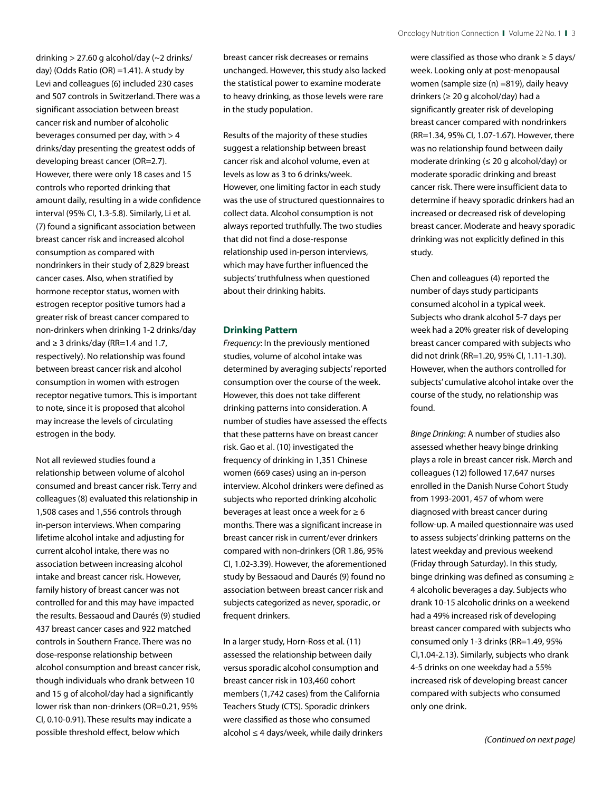drinking > 27.60 g alcohol/day (~2 drinks/ day) (Odds Ratio (OR) =  $1.41$ ). A study by Levi and colleagues (6) included 230 cases and 507 controls in Switzerland. There was a significant association between breast cancer risk and number of alcoholic beverages consumed per day, with  $> 4$ drinks/day presenting the greatest odds of developing breast cancer (OR=2.7). However, there were only 18 cases and 15 controls who reported drinking that amount daily, resulting in a wide confidence interval (95% CI, 1.3-5.8). Similarly, Li et al. (7) found a significant association between breast cancer risk and increased alcohol consumption as compared with nondrinkers in their study of 2,829 breast cancer cases. Also, when stratified by hormone receptor status, women with estrogen receptor positive tumors had a greater risk of breast cancer compared to non-drinkers when drinking 1-2 drinks/day and  $\geq$  3 drinks/day (RR=1.4 and 1.7, respectively). No relationship was found between breast cancer risk and alcohol consumption in women with estrogen receptor negative tumors. This is important to note, since it is proposed that alcohol may increase the levels of circulating estrogen in the body.

Not all reviewed studies found a relationship between volume of alcohol consumed and breast cancer risk. Terry and colleagues (8) evaluated this relationship in 1,508 cases and 1,556 controls through in-person interviews. When comparing lifetime alcohol intake and adjusting for current alcohol intake, there was no association between increasing alcohol intake and breast cancer risk. However, family history of breast cancer was not controlled for and this may have impacted the results. Bessaoud and Daurés (9) studied 437 breast cancer cases and 922 matched controls in Southern France. There was no dose-response relationship between alcohol consumption and breast cancer risk, though individuals who drank between 10 and 15 g of alcohol/day had a significantly lower risk than non-drinkers (OR=0.21, 95% CI, 0.10-0.91). These results may indicate a possible threshold effect, below which

breast cancer risk decreases or remains unchanged. However, this study also lacked the statistical power to examine moderate to heavy drinking, as those levels were rare in the study population.

Results of the majority of these studies suggest a relationship between breast cancer risk and alcohol volume, even at levels as low as 3 to 6 drinks/week. However, one limiting factor in each study was the use of structured questionnaires to collect data. Alcohol consumption is not always reported truthfully. The two studies that did not find a dose-response relationship used in-person interviews, which may have further influenced the subjects' truthfulness when questioned about their drinking habits.

#### **Drinking Pattern**

*Frequency*: In the previously mentioned studies, volume of alcohol intake was determined by averaging subjects' reported consumption over the course of the week. However, this does not take different drinking patterns into consideration. A number of studies have assessed the effects that these patterns have on breast cancer risk. Gao et al. (10) investigated the frequency of drinking in 1,351 Chinese women (669 cases) using an in-person interview. Alcohol drinkers were defined as subjects who reported drinking alcoholic beverages at least once a week for  $\geq 6$ months. There was a significant increase in breast cancer risk in current/ever drinkers compared with non-drinkers (OR 1.86, 95% CI, 1.02-3.39). However, the aforementioned study by Bessaoud and Daurés (9) found no association between breast cancer risk and subjects categorized as never, sporadic, or frequent drinkers.

In a larger study, Horn-Ross et al. (11) assessed the relationship between daily versus sporadic alcohol consumption and breast cancer risk in 103,460 cohort members (1,742 cases) from the California Teachers Study (CTS). Sporadic drinkers were classified as those who consumed alcohol ≤ 4 days/week, while daily drinkers were classified as those who drank ≥ 5 days/ week. Looking only at post-menopausal women (sample size (n) =819), daily heavy drinkers (≥ 20 g alcohol/day) had a significantly greater risk of developing breast cancer compared with nondrinkers (RR=1.34, 95% CI, 1.07-1.67). However, there was no relationship found between daily moderate drinking (≤ 20 g alcohol/day) or moderate sporadic drinking and breast cancer risk. There were insufficient data to determine if heavy sporadic drinkers had an increased or decreased risk of developing breast cancer. Moderate and heavy sporadic drinking was not explicitly defined in this study.

Chen and colleagues (4) reported the number of days study participants consumed alcohol in a typical week. Subjects who drank alcohol 5-7 days per week had a 20% greater risk of developing breast cancer compared with subjects who did not drink (RR=1.20, 95% CI, 1.11-1.30). However, when the authors controlled for subjects' cumulative alcohol intake over the course of the study, no relationship was found.

*Binge Drinking*: A number of studies also assessed whether heavy binge drinking plays a role in breast cancer risk. Mørch and colleagues (12) followed 17,647 nurses enrolled in the Danish Nurse Cohort Study from 1993-2001, 457 of whom were diagnosed with breast cancer during follow-up. A mailed questionnaire was used to assess subjects' drinking patterns on the latest weekday and previous weekend (Friday through Saturday). In this study, binge drinking was defined as consuming ≥ 4 alcoholic beverages a day. Subjects who drank 10-15 alcoholic drinks on a weekend had a 49% increased risk of developing breast cancer compared with subjects who consumed only 1-3 drinks (RR=1.49, 95% CI,1.04-2.13). Similarly, subjects who drank 4-5 drinks on one weekday had a 55% increased risk of developing breast cancer compared with subjects who consumed only one drink.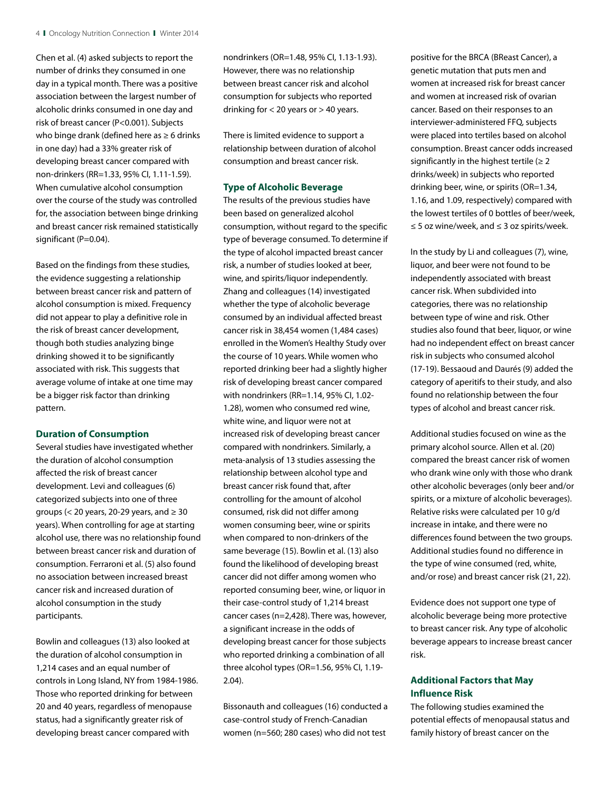Chen et al. (4) asked subjects to report the number of drinks they consumed in one day in a typical month. There was a positive association between the largest number of alcoholic drinks consumed in one day and risk of breast cancer (P<0.001). Subjects who binge drank (defined here as ≥ 6 drinks in one day) had a 33% greater risk of developing breast cancer compared with non-drinkers (RR=1.33, 95% CI, 1.11-1.59). When cumulative alcohol consumption over the course of the study was controlled for, the association between binge drinking and breast cancer risk remained statistically significant (P=0.04).

Based on the findings from these studies, the evidence suggesting a relationship between breast cancer risk and pattern of alcohol consumption is mixed. Frequency did not appear to play a definitive role in the risk of breast cancer development, though both studies analyzing binge drinking showed it to be significantly associated with risk. This suggests that average volume of intake at one time may be a bigger risk factor than drinking pattern.

#### **Duration of Consumption**

Several studies have investigated whether the duration of alcohol consumption affected the risk of breast cancer development. Levi and colleagues (6) categorized subjects into one of three groups ( $<$  20 years, 20-29 years, and  $\geq$  30 years). When controlling for age at starting alcohol use, there was no relationship found between breast cancer risk and duration of consumption. Ferraroni et al. (5) also found no association between increased breast cancer risk and increased duration of alcohol consumption in the study participants.

Bowlin and colleagues (13) also looked at the duration of alcohol consumption in 1,214 cases and an equal number of controls in Long Island, NY from 1984-1986. Those who reported drinking for between 20 and 40 years, regardless of menopause status, had a significantly greater risk of developing breast cancer compared with

nondrinkers (OR=1.48, 95% CI, 1.13-1.93). However, there was no relationship between breast cancer risk and alcohol consumption for subjects who reported drinking for < 20 years or > 40 years.

There is limited evidence to support a relationship between duration of alcohol consumption and breast cancer risk.

#### **Type of Alcoholic Beverage**

The results of the previous studies have been based on generalized alcohol consumption, without regard to the specific type of beverage consumed. To determine if the type of alcohol impacted breast cancer risk, a number of studies looked at beer, wine, and spirits/liquor independently. Zhang and colleagues (14) investigated whether the type of alcoholic beverage consumed by an individual affected breast cancer risk in 38,454 women (1,484 cases) enrolled in the Women's Healthy Study over the course of 10 years. While women who reported drinking beer had a slightly higher risk of developing breast cancer compared with nondrinkers (RR=1.14, 95% CI, 1.02- 1.28), women who consumed red wine, white wine, and liquor were not at increased risk of developing breast cancer compared with nondrinkers. Similarly, a meta-analysis of 13 studies assessing the relationship between alcohol type and breast cancer risk found that, after controlling for the amount of alcohol consumed, risk did not differ among women consuming beer, wine or spirits when compared to non-drinkers of the same beverage (15). Bowlin et al. (13) also found the likelihood of developing breast cancer did not differ among women who reported consuming beer, wine, or liquor in their case-control study of 1,214 breast cancer cases (n=2,428). There was, however, a significant increase in the odds of developing breast cancer for those subjects who reported drinking a combination of all three alcohol types (OR=1.56, 95% CI, 1.19- 2.04).

Bissonauth and colleagues (16) conducted a case-control study of French-Canadian women (n=560; 280 cases) who did not test

positive for the BRCA (BReast Cancer), a genetic mutation that puts men and women at increased risk for breast cancer and women at increased risk of ovarian cancer. Based on their responses to an interviewer-administered FFQ, subjects were placed into tertiles based on alcohol consumption. Breast cancer odds increased significantly in the highest tertile ( $\geq 2$ drinks/week) in subjects who reported drinking beer, wine, or spirits (OR=1.34, 1.16, and 1.09, respectively) compared with the lowest tertiles of 0 bottles of beer/week, ≤ 5 oz wine/week, and ≤ 3 oz spirits/week.

In the study by Li and colleagues (7), wine, liquor, and beer were not found to be independently associated with breast cancer risk. When subdivided into categories, there was no relationship between type of wine and risk. Other studies also found that beer, liquor, or wine had no independent effect on breast cancer risk in subjects who consumed alcohol (17-19). Bessaoud and Daurés (9) added the category of aperitifs to their study, and also found no relationship between the four types of alcohol and breast cancer risk.

Additional studies focused on wine as the primary alcohol source. Allen et al. (20) compared the breast cancer risk of women who drank wine only with those who drank other alcoholic beverages (only beer and/or spirits, or a mixture of alcoholic beverages). Relative risks were calculated per 10 g/d increase in intake, and there were no differences found between the two groups. Additional studies found no difference in the type of wine consumed (red, white, and/or rose) and breast cancer risk (21, 22).

Evidence does not support one type of alcoholic beverage being more protective to breast cancer risk. Any type of alcoholic beverage appears to increase breast cancer risk.

#### **Additional Factors that May Influence Risk**

The following studies examined the potential effects of menopausal status and family history of breast cancer on the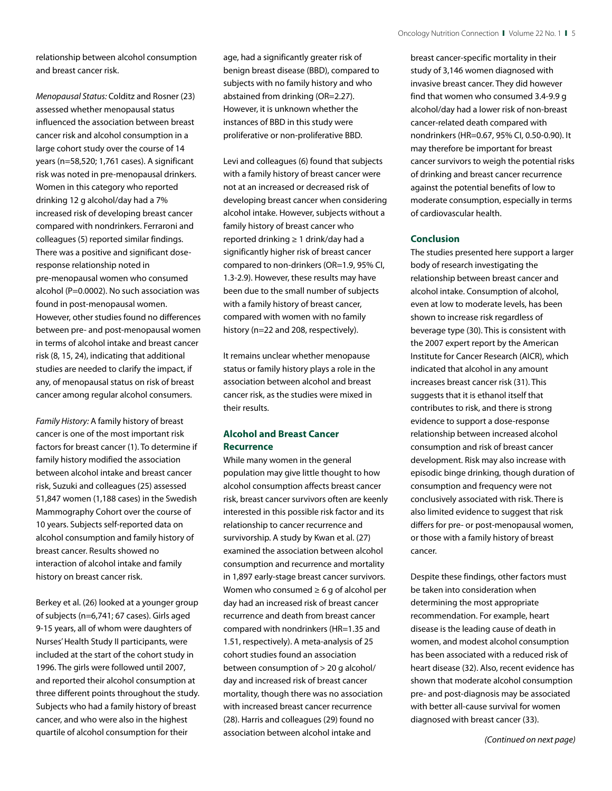relationship between alcohol consumption and breast cancer risk.

*Menopausal Status:* Colditz and Rosner (23) assessed whether menopausal status influenced the association between breast cancer risk and alcohol consumption in a large cohort study over the course of 14 years (n=58,520; 1,761 cases). A significant risk was noted in pre-menopausal drinkers. Women in this category who reported drinking 12 g alcohol/day had a 7% increased risk of developing breast cancer compared with nondrinkers. Ferraroni and colleagues (5) reported similar findings. There was a positive and significant doseresponse relationship noted in pre-menopausal women who consumed alcohol (P=0.0002). No such association was found in post-menopausal women. However, other studies found no differences between pre- and post-menopausal women in terms of alcohol intake and breast cancer risk (8, 15, 24), indicating that additional studies are needed to clarify the impact, if any, of menopausal status on risk of breast cancer among regular alcohol consumers.

*Family History:* A family history of breast cancer is one of the most important risk factors for breast cancer (1). To determine if family history modified the association between alcohol intake and breast cancer risk, Suzuki and colleagues (25) assessed 51,847 women (1,188 cases) in the Swedish Mammography Cohort over the course of 10 years. Subjects self-reported data on alcohol consumption and family history of breast cancer. Results showed no interaction of alcohol intake and family history on breast cancer risk.

Berkey et al. (26) looked at a younger group of subjects (n=6,741; 67 cases). Girls aged 9-15 years, all of whom were daughters of Nurses' Health Study II participants, were included at the start of the cohort study in 1996. The girls were followed until 2007, and reported their alcohol consumption at three different points throughout the study. Subjects who had a family history of breast cancer, and who were also in the highest quartile of alcohol consumption for their

age, had a significantly greater risk of benign breast disease (BBD), compared to subjects with no family history and who abstained from drinking (OR=2.27). However, it is unknown whether the instances of BBD in this study were proliferative or non-proliferative BBD.

Levi and colleagues (6) found that subjects with a family history of breast cancer were not at an increased or decreased risk of developing breast cancer when considering alcohol intake. However, subjects without a family history of breast cancer who reported drinking ≥ 1 drink/day had a significantly higher risk of breast cancer compared to non-drinkers (OR=1.9, 95% CI, 1.3-2.9). However, these results may have been due to the small number of subjects with a family history of breast cancer, compared with women with no family history (n=22 and 208, respectively).

It remains unclear whether menopause status or family history plays a role in the association between alcohol and breast cancer risk, as the studies were mixed in their results.

#### **Alcohol and Breast Cancer Recurrence**

While many women in the general population may give little thought to how alcohol consumption affects breast cancer risk, breast cancer survivors often are keenly interested in this possible risk factor and its relationship to cancer recurrence and survivorship. A study by Kwan et al. (27) examined the association between alcohol consumption and recurrence and mortality in 1,897 early-stage breast cancer survivors. Women who consumed  $\geq 6$  g of alcohol per day had an increased risk of breast cancer recurrence and death from breast cancer compared with nondrinkers (HR=1.35 and 1.51, respectively). A meta-analysis of 25 cohort studies found an association between consumption of > 20 g alcohol/ day and increased risk of breast cancer mortality, though there was no association with increased breast cancer recurrence (28). Harris and colleagues (29) found no association between alcohol intake and

breast cancer-specific mortality in their study of 3,146 women diagnosed with invasive breast cancer. They did however find that women who consumed 3.4-9.9 g alcohol/day had a lower risk of non-breast cancer-related death compared with nondrinkers (HR=0.67, 95% CI, 0.50-0.90). It may therefore be important for breast cancer survivors to weigh the potential risks of drinking and breast cancer recurrence against the potential benefits of low to moderate consumption, especially in terms of cardiovascular health.

#### **Conclusion**

The studies presented here support a larger body of research investigating the relationship between breast cancer and alcohol intake. Consumption of alcohol, even at low to moderate levels, has been shown to increase risk regardless of beverage type (30). This is consistent with the 2007 expert report by the American Institute for Cancer Research (AICR), which indicated that alcohol in any amount increases breast cancer risk (31). This suggests that it is ethanol itself that contributes to risk, and there is strong evidence to support a dose-response relationship between increased alcohol consumption and risk of breast cancer development. Risk may also increase with episodic binge drinking, though duration of consumption and frequency were not conclusively associated with risk. There is also limited evidence to suggest that risk differs for pre- or post-menopausal women, or those with a family history of breast cancer.

Despite these findings, other factors must be taken into consideration when determining the most appropriate recommendation. For example, heart disease is the leading cause of death in women, and modest alcohol consumption has been associated with a reduced risk of heart disease (32). Also, recent evidence has shown that moderate alcohol consumption pre- and post-diagnosis may be associated with better all-cause survival for women diagnosed with breast cancer (33).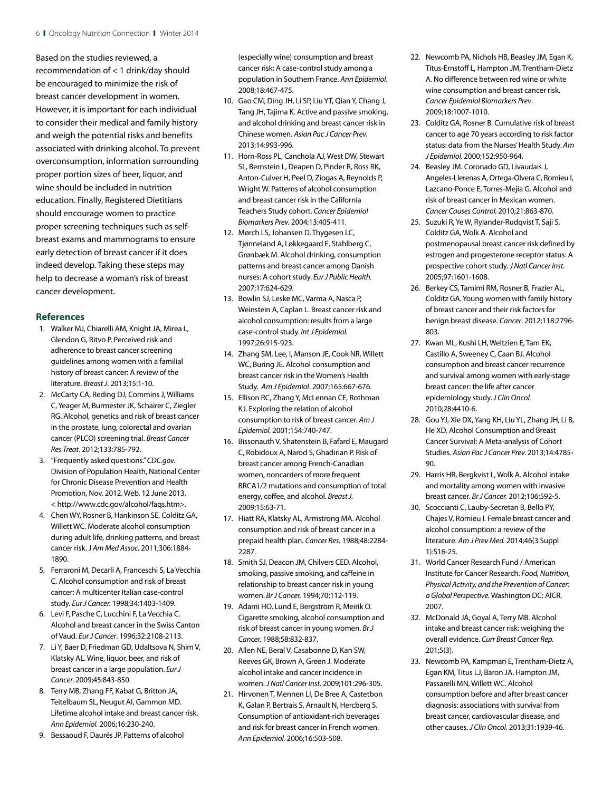Based on the studies reviewed, a recommendation of < 1 drink/day should be encouraged to minimize the risk of breast cancer development in women. However, it is important for each individual to consider their medical and family history and weigh the potential risks and benefits associated with drinking alcohol. To prevent overconsumption, information surrounding proper portion sizes of beer, liquor, and wine should be included in nutrition education. Finally, Registered Dietitians should encourage women to practice proper screening techniques such as selfbreast exams and mammograms to ensure early detection of breast cancer if it does indeed develop. Taking these steps may help to decrease a woman's risk of breast cancer development.

#### **References**

- 1. Walker MJ, Chiarelli AM, Knight JA, Mirea L, Glendon G, Ritvo P. Perceived risk and adherence to breast cancer screening guidelines among women with a familial history of breast cancer: A review of the literature. *Breast J*. 2013;15:1-10.
- 2. McCarty CA, Reding DJ, Commins J, Williams C, Yeager M, Burmester JK, Schairer C, Ziegler RG. Alcohol, genetics and risk of breast cancer in the prostate, lung, colorectal and ovarian cancer (PLCO) screening trial. *Breast Cancer Res Treat*. 2012;133:785-792.
- 3. "Frequently asked questions." *CDC.gov.*  Division of Population Health, National Center for Chronic Disease Prevention and Health Promotion, Nov. 2012. Web. 12 June 2013. < http://www.cdc.gov/alcohol/faqs.htm>.
- 4. Chen WY, Rosner B, Hankinson SE, Colditz GA, Willett WC. Moderate alcohol consumption during adult life, drinking patterns, and breast cancer risk. J *Am Med Assoc.* 2011;306:1884- 1890.
- 5. Ferraroni M, Decarli A, Franceschi S, La Vecchia C. Alcohol consumption and risk of breast cancer: A multicenter Italian case-control study. *Eur J Cancer.* 1998;34:1403-1409.
- 6. Levi F, Pasche C, Lucchini F, La Vecchia C. Alcohol and breast cancer in the Swiss Canton of Vaud. *Eur J Cancer*. 1996;32:2108-2113.
- 7. Li Y, Baer D, Friedman GD, Udaltsova N, Shim V, Klatsky AL. Wine, liquor, beer, and risk of breast cancer in a large population. *Eur J Cancer.* 2009;45:843-850.
- 8. Terry MB, Zhang FF, Kabat G, Britton JA, Teitelbaum SL, Neugut AI, Gammon MD. Lifetime alcohol intake and breast cancer risk. *Ann Epidemiol.* 2006;16:230-240.
- 9. Bessaoud F, Daurés JP. Patterns of alcohol

(especially wine) consumption and breast cancer risk: A case-control study among a population in Southern France. *Ann Epidemiol.*  2008;18:467-475.

- 10. Gao CM, Ding JH, Li SP, Liu YT, Qian Y, Chang J, Tang JH, Tajima K. Active and passive smoking, and alcohol drinking and breast cancer risk in Chinese women. *Asian Pac J Cancer Prev.*  2013;14:993-996.
- 11. Horn-Ross PL, Canchola AJ, West DW, Stewart SL, Bernstein L, Deapen D, Pinder R, Ross RK, Anton-Culver H, Peel D, Ziogas A, Reynolds P, Wright W. Patterns of alcohol consumption and breast cancer risk in the California Teachers Study cohort. *Cancer Epidemiol Biomarkers Prev.* 2004;13:405-411.
- 12. Mørch LS, Johansen D, Thygesen LC, Tjønneland A, Løkkegaard E, Stahlberg C, Grønbaek M. Alcohol drinking, consumption patterns and breast cancer among Danish nurses: A cohort study. *Eur J Public Health.* 2007;17:624-629.
- 13. Bowlin SJ, Leske MC, Varma A, Nasca P, Weinstein A, Caplan L. Breast cancer risk and alcohol consumption: results from a large case-control study. *Int J Epidemiol.* 1997;26:915-923.
- 14. Zhang SM, Lee, I, Manson JE, Cook NR, Willett WC, Buring JE. Alcohol consumption and breast cancer risk in the Women's Health Study. *Am J Epidemiol*. 2007;165:667-676.
- 15. Ellison RC, Zhang Y, McLennan CE, Rothman KJ. Exploring the relation of alcohol consumption to risk of breast cancer. *Am J Epidemiol.* 2001;154:740-747.
- 16. Bissonauth V, Shatenstein B, Fafard E, Maugard C, Robidoux A, Narod S, Ghadirian P. Risk of breast cancer among French-Canadian women, noncarriers of more frequent BRCA1/2 mutations and consumption of total energy, coffee, and alcohol. *Breast J.*  2009;15:63-71.
- 17. Hiatt RA, Klatsky AL, Armstrong MA. Alcohol consumption and risk of breast cancer in a prepaid health plan. *Cancer Res.* 1988;48:2284- 2287.
- 18. Smith SJ, Deacon JM, Chilvers CED. Alcohol, smoking, passive smoking, and caffeine in relationship to breast cancer risk in young women. *Br J Cancer.* 1994;70:112-119.
- 19. Adami HO, Lund E, Bergström R, Meirik O. Cigarette smoking, alcohol consumption and risk of breast cancer in young women. *Br J Cancer.* 1988;58:832-837.
- 20. Allen NE, Beral V, Casabonne D, Kan SW, Reeves GK, Brown A, Green J. Moderate alcohol intake and cancer incidence in women. *J Natl Cancer Inst*. 2009;101:296-305.
- 21. Hirvonen T, Mennen LI, De Bree A, Castetbon K, Galan P, Bertrais S, Arnault N, Hercberg S. Consumption of antioxidant-rich beverages and risk for breast cancer in French women. *Ann Epidemiol.* 2006;16:503-508.
- 22. Newcomb PA, Nichols HB, Beasley JM, Egan K, Titus-Ernstoff L, Hampton JM, Trentham-Dietz A. No difference between red wine or white wine consumption and breast cancer risk. *Cancer Epidemiol Biomarkers Prev*. 2009;18:1007-1010.
- 23. Colditz GA, Rosner B. Cumulative risk of breast cancer to age 70 years according to risk factor status: data from the Nurses' Health Study. *Am J Epidemiol.* 2000;152:950-964.
- 24. Beasley JM. Coronado GD, Livaudais J, Angeles-Llerenas A, Ortega-Olvera C, Romieu I, Lazcano-Ponce E, Torres-Mejía G. Alcohol and risk of breast cancer in Mexican women. *Cancer Causes Control.* 2010;21:863-870.
- 25. Suzuki R, Ye W, Rylander-Rudqvist T, Saji S, Colditz GA, Wolk A. Alcohol and postmenopausal breast cancer risk defined by estrogen and progesterone receptor status: A prospective cohort study. *J Natl Cancer Inst.* 2005;97:1601-1608.
- 26. Berkey CS, Tamimi RM, Rosner B, Frazier AL, Colditz GA. Young women with family history of breast cancer and their risk factors for benign breast disease. *Cancer*. 2012;118:2796- 803.
- 27. Kwan ML, Kushi LH, Weltzien E, Tam EK, Castillo A, Sweeney C, Caan BJ. Alcohol consumption and breast cancer recurrence and survival among women with early-stage breast cancer: the life after cancer epidemiology study. *J Clin Oncol.*  2010;28:4410-6.
- 28. Gou YJ, Xie DX, Yang KH, Liu YL, Zhang JH, Li B, He XD. Alcohol Consumption and Breast Cancer Survival: A Meta-analysis of Cohort Studies. *Asian Pac J Cancer Prev.* 2013;14:4785- 90.
- 29. Harris HR, Bergkvist L, Wolk A. Alcohol intake and mortality among women with invasive breast cancer. *Br J Cancer.* 2012;106:592-5.
- 30. Scoccianti C, Lauby-Secretan B, Bello PY, Chajes V, Romieu I. Female breast cancer and alcohol consumption: a review of the literature. *Am J Prev Med.* 2014;46(3 Suppl 1):S16-25.
- 31. World Cancer Research Fund / American Institute for Cancer Research. *Food, Nutrition, Physical Activity, and the Prevention of Cancer: a Global Perspective.* Washington DC: AICR, 2007.
- 32. McDonald JA, Goyal A, Terry MB. Alcohol intake and breast cancer risk: weighing the overall evidence. *Curr Breast Cancer Rep.*  201;5(3).
- 33. Newcomb PA, Kampman E, Trentham-Dietz A, Egan KM, Titus LJ, Baron JA, Hampton JM, Passarelli MN, Willett WC. Alcohol consumption before and after breast cancer diagnosis: associations with survival from breast cancer, cardiovascular disease, and other causes. *J Clin Oncol.* 2013;31:1939-46.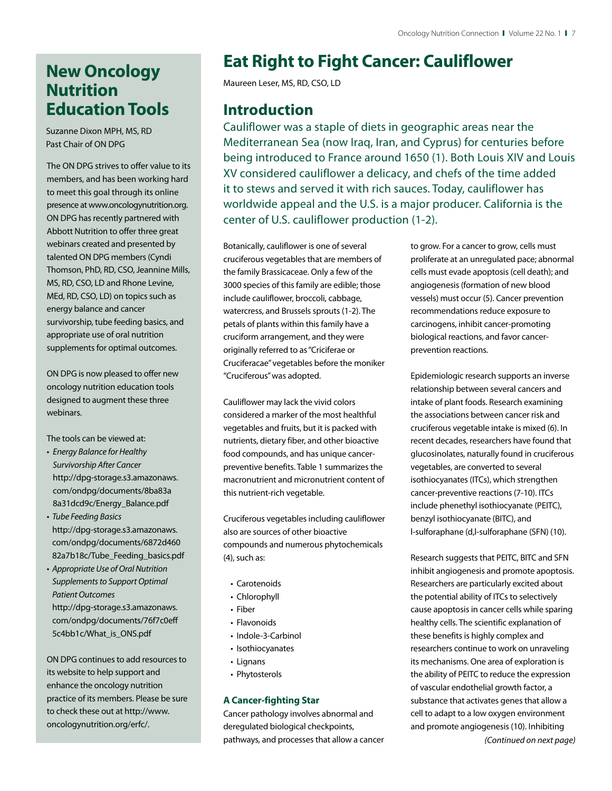### **New Oncology Nutrition Education Tools**

Suzanne Dixon MPH, MS, RD Past Chair of ON DPG

The ON DPG strives to offer value to its members, and has been working hard to meet this goal through its online presence at www.oncologynutrition.org. ON DPG has recently partnered with Abbott Nutrition to offer three great webinars created and presented by talented ON DPG members (Cyndi Thomson, PhD, RD, CSO, Jeannine Mills, MS, RD, CSO, LD and Rhone Levine, MEd, RD, CSO, LD) on topics such as energy balance and cancer survivorship, tube feeding basics, and appropriate use of oral nutrition supplements for optimal outcomes.

ON DPG is now pleased to offer new oncology nutrition education tools designed to augment these three webinars.

The tools can be viewed at:

- *Energy Balance for Healthy Survivorship After Cancer* [http://dpg-storage.s3.amazonaws.](http://dpg-storage.s3.amazonaws.com/ondpg/documents/8ba83a 8a31dcd9c/Energy_Balance.pdf) [com/ondpg/documents/8ba83a](http://dpg-storage.s3.amazonaws.com/ondpg/documents/8ba83a 8a31dcd9c/Energy_Balance.pdf) [8a31dcd9c/Energy\\_Balance.pdf](http://dpg-storage.s3.amazonaws.com/ondpg/documents/8ba83a 8a31dcd9c/Energy_Balance.pdf)
- Tube Feeding Basics [http://dpg-storage.s3.amazonaws.](http://dpg-storage.s3.amazonaws.com/ondpg/documents/6872d460 82a7b18c/Tube_Feeding_basics.pdf ) [com/ondpg/documents/6872d460](http://dpg-storage.s3.amazonaws.com/ondpg/documents/6872d460 82a7b18c/Tube_Feeding_basics.pdf ) [82a7b18c/Tube\\_Feeding\\_basics.pdf](http://dpg-storage.s3.amazonaws.com/ondpg/documents/6872d460 82a7b18c/Tube_Feeding_basics.pdf )
- Appropriate Use of Oral Nutrition *Supplements to Support Optimal Patient Outcomes*  [http://dpg-storage.s3.amazonaws.](http://dpg-storage.s3.amazonaws.com/ondpg/documents/76f7c0eff 5c4bb1c/What_is_ONS.pdf) [com/ondpg/documents/76f7c0eff](http://dpg-storage.s3.amazonaws.com/ondpg/documents/76f7c0eff 5c4bb1c/What_is_ONS.pdf) [5c4bb1c/What\\_is\\_ONS.pdf](http://dpg-storage.s3.amazonaws.com/ondpg/documents/76f7c0eff 5c4bb1c/What_is_ONS.pdf)

ON DPG continues to add resources to its website to help support and enhance the oncology nutrition practice of its members. Please be sure to check these out at [http://www.](http://www.oncologynutrition.org/erfc/) [oncologynutrition.org/erfc/.](http://www.oncologynutrition.org/erfc/)

### **Eat Right to Fight Cancer: Cauliflower**

Maureen Leser, MS, RD, CSO, LD

### **Introduction**

Cauliflower was a staple of diets in geographic areas near the Mediterranean Sea (now Iraq, Iran, and Cyprus) for centuries before being introduced to France around 1650 (1). Both Louis XIV and Louis XV considered cauliflower a delicacy, and chefs of the time added it to stews and served it with rich sauces. Today, cauliflower has worldwide appeal and the U.S. is a major producer. California is the center of U.S. cauliflower production (1-2).

Botanically, cauliflower is one of several cruciferous vegetables that are members of the family Brassicaceae. Only a few of the 3000 species of this family are edible; those include cauliflower, broccoli, cabbage, watercress, and Brussels sprouts (1-2). The petals of plants within this family have a cruciform arrangement, and they were originally referred to as "Criciferae or Cruciferacae" vegetables before the moniker "Cruciferous" was adopted.

Cauliflower may lack the vivid colors considered a marker of the most healthful vegetables and fruits, but it is packed with nutrients, dietary fiber, and other bioactive food compounds, and has unique cancerpreventive benefits. Table 1 summarizes the macronutrient and micronutrient content of this nutrient-rich vegetable.

Cruciferous vegetables including cauliflower also are sources of other bioactive compounds and numerous phytochemicals (4), such as:

- Carotenoids
- Chlorophyll
- Fiber
- Flavonoids
- Indole-3-Carbinol
- Isothiocyanates
- Lignans
- Phytosterols

#### **A Cancer-fighting Star**

Cancer pathology involves abnormal and deregulated biological checkpoints, pathways, and processes that allow a cancer to grow. For a cancer to grow, cells must proliferate at an unregulated pace; abnormal cells must evade apoptosis (cell death); and angiogenesis (formation of new blood vessels) must occur (5). Cancer prevention recommendations reduce exposure to carcinogens, inhibit cancer-promoting biological reactions, and favor cancerprevention reactions.

Epidemiologic research supports an inverse relationship between several cancers and intake of plant foods. Research examining the associations between cancer risk and cruciferous vegetable intake is mixed (6). In recent decades, researchers have found that glucosinolates, naturally found in cruciferous vegetables, are converted to several isothiocyanates (ITCs), which strengthen cancer-preventive reactions (7-10). ITCs include phenethyl isothiocyanate (PEITC), benzyl isothiocyanate (BITC), and l-sulforaphane (d,l-sulforaphane (SFN) (10).

*(Continued on next page)* Research suggests that PEITC, BITC and SFN inhibit angiogenesis and promote apoptosis. Researchers are particularly excited about the potential ability of ITCs to selectively cause apoptosis in cancer cells while sparing healthy cells. The scientific explanation of these benefits is highly complex and researchers continue to work on unraveling its mechanisms. One area of exploration is the ability of PEITC to reduce the expression of vascular endothelial growth factor, a substance that activates genes that allow a cell to adapt to a low oxygen environment and promote angiogenesis (10). Inhibiting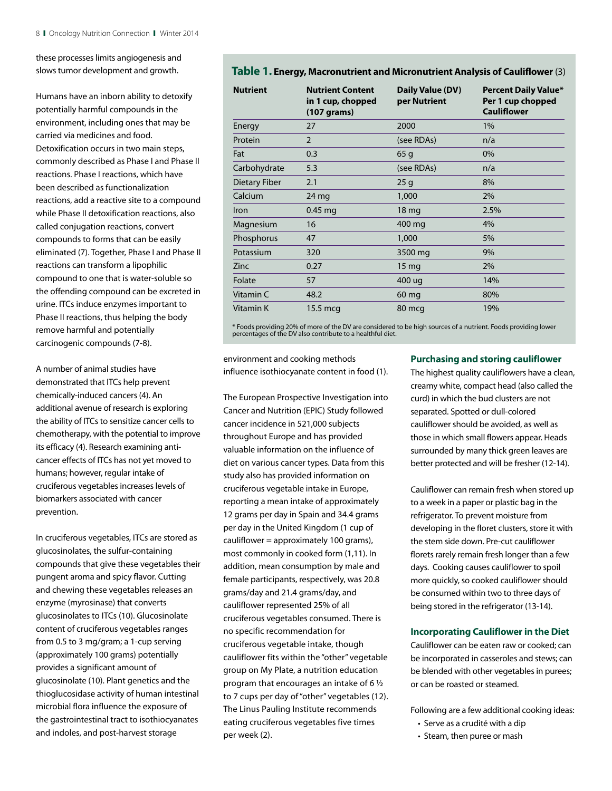these processes limits angiogenesis and slows tumor development and growth.

Humans have an inborn ability to detoxify potentially harmful compounds in the environment, including ones that may be carried via medicines and food. Detoxification occurs in two main steps, commonly described as Phase I and Phase II reactions. Phase I reactions, which have been described as functionalization reactions, add a reactive site to a compound while Phase II detoxification reactions, also called conjugation reactions, convert compounds to forms that can be easily eliminated (7). Together, Phase I and Phase II reactions can transform a lipophilic compound to one that is water-soluble so the offending compound can be excreted in urine. ITCs induce enzymes important to Phase II reactions, thus helping the body remove harmful and potentially carcinogenic compounds (7-8).

A number of animal studies have demonstrated that ITCs help prevent chemically-induced cancers (4). An additional avenue of research is exploring the ability of ITCs to sensitize cancer cells to chemotherapy, with the potential to improve its efficacy (4). Research examining anticancer effects of ITCs has not yet moved to humans; however, regular intake of cruciferous vegetables increases levels of biomarkers associated with cancer prevention.

In cruciferous vegetables, ITCs are stored as glucosinolates, the sulfur-containing compounds that give these vegetables their pungent aroma and spicy flavor. Cutting and chewing these vegetables releases an enzyme (myrosinase) that converts glucosinolates to ITCs (10). Glucosinolate content of cruciferous vegetables ranges from 0.5 to 3 mg/gram; a 1-cup serving (approximately 100 grams) potentially provides a significant amount of glucosinolate (10). Plant genetics and the thioglucosidase activity of human intestinal microbial flora influence the exposure of the gastrointestinal tract to isothiocyanates and indoles, and post-harvest storage

#### **Table 1. Energy, Macronutrient and Micronutrient Analysis of Cauliflower** (3)

| <b>Nutrient</b>      | <b>Nutrient Content</b><br>in 1 cup, chopped<br>$(107$ grams) | Daily Value (DV)<br>per Nutrient | <b>Percent Daily Value*</b><br>Per 1 cup chopped<br><b>Cauliflower</b> |
|----------------------|---------------------------------------------------------------|----------------------------------|------------------------------------------------------------------------|
| Energy               | 27                                                            | 2000                             | 1%                                                                     |
| Protein              | $\mathcal{P}$                                                 | (see RDAs)                       | n/a                                                                    |
| Fat                  | 0.3                                                           | 65q                              | 0%                                                                     |
| Carbohydrate         | 5.3                                                           | (see RDAs)                       | n/a                                                                    |
| <b>Dietary Fiber</b> | 2.1                                                           | 25q                              | 8%                                                                     |
| Calcium              | $24 \,\mathrm{mg}$                                            | 1,000                            | 2%                                                                     |
| Iron                 | $0.45$ mg                                                     | 18 <sub>mg</sub>                 | 2.5%                                                                   |
| Magnesium            | 16                                                            | 400 mg                           | 4%                                                                     |
| Phosphorus           | 47                                                            | 1,000                            | 5%                                                                     |
| Potassium            | 320                                                           | 3500 mg                          | 9%                                                                     |
| Zinc                 | 0.27                                                          | 15 <sub>mg</sub>                 | 2%                                                                     |
| Folate               | 57                                                            | 400 ug                           | 14%                                                                    |
| Vitamin C            | 48.2                                                          | 60 mg                            | 80%                                                                    |
| Vitamin K            | 15.5 mcg                                                      | 80 mcg                           | 19%                                                                    |

\* Foods providing 20% of more of the DV are considered to be high sources of a nutrient. Foods providing lower percentages of the DV also contribute to a healthful diet.

environment and cooking methods influence isothiocyanate content in food (1).

The European Prospective Investigation into Cancer and Nutrition (EPIC) Study followed cancer incidence in 521,000 subjects throughout Europe and has provided valuable information on the influence of diet on various cancer types. Data from this study also has provided information on cruciferous vegetable intake in Europe, reporting a mean intake of approximately 12 grams per day in Spain and 34.4 grams per day in the United Kingdom (1 cup of cauliflower = approximately 100 grams), most commonly in cooked form (1,11). In addition, mean consumption by male and female participants, respectively, was 20.8 grams/day and 21.4 grams/day, and cauliflower represented 25% of all cruciferous vegetables consumed. There is no specific recommendation for cruciferous vegetable intake, though cauliflower fits within the "other" vegetable group on My Plate, a nutrition education program that encourages an intake of 6 ½ to 7 cups per day of "other" vegetables (12). The Linus Pauling Institute recommends eating cruciferous vegetables five times per week (2).

#### **Purchasing and storing cauliflower**

The highest quality cauliflowers have a clean, creamy white, compact head (also called the curd) in which the bud clusters are not separated. Spotted or dull-colored cauliflower should be avoided, as well as those in which small flowers appear. Heads surrounded by many thick green leaves are better protected and will be fresher (12-14).

Cauliflower can remain fresh when stored up to a week in a paper or plastic bag in the refrigerator. To prevent moisture from developing in the floret clusters, store it with the stem side down. Pre-cut cauliflower florets rarely remain fresh longer than a few days. Cooking causes cauliflower to spoil more quickly, so cooked cauliflower should be consumed within two to three days of being stored in the refrigerator (13-14).

#### **Incorporating Cauliflower in the Diet**

Cauliflower can be eaten raw or cooked; can be incorporated in casseroles and stews; can be blended with other vegetables in purees; or can be roasted or steamed.

Following are a few additional cooking ideas:

- Serve as a crudité with a dip
- Steam, then puree or mash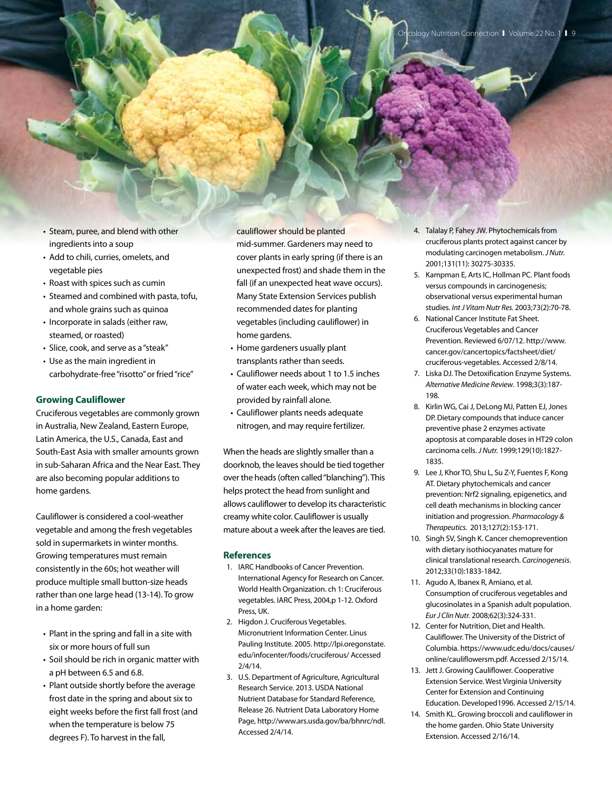- Steam, puree, and blend with other ingredients into a soup
- Add to chili, curries, omelets, and vegetable pies
- Roast with spices such as cumin
- Steamed and combined with pasta, tofu, and whole grains such as quinoa
- Incorporate in salads (either raw, steamed, or roasted)
- Slice, cook, and serve as a "steak"
- Use as the main ingredient in carbohydrate-free "risotto" or fried "rice"

#### **Growing Cauliflower**

Cruciferous vegetables are commonly grown in Australia, New Zealand, Eastern Europe, Latin America, the U.S., Canada, East and South-East Asia with smaller amounts grown in sub-Saharan Africa and the Near East. They are also becoming popular additions to home gardens.

Cauliflower is considered a cool-weather vegetable and among the fresh vegetables sold in supermarkets in winter months. Growing temperatures must remain consistently in the 60s; hot weather will produce multiple small button-size heads rather than one large head (13-14). To grow in a home garden:

- Plant in the spring and fall in a site with six or more hours of full sun
- Soil should be rich in organic matter with a pH between 6.5 and 6.8.
- Plant outside shortly before the average frost date in the spring and about six to eight weeks before the first fall frost (and when the temperature is below 75 degrees F). To harvest in the fall,

cauliflower should be planted mid-summer. Gardeners may need to cover plants in early spring (if there is an unexpected frost) and shade them in the fall (if an unexpected heat wave occurs). Many State Extension Services publish recommended dates for planting vegetables (including cauliflower) in home gardens.

- Home gardeners usually plant transplants rather than seeds.
- Cauliflower needs about 1 to 1.5 inches of water each week, which may not be provided by rainfall alone.
- Cauliflower plants needs adequate nitrogen, and may require fertilizer.

When the heads are slightly smaller than a doorknob, the leaves should be tied together over the heads (often called "blanching"). This helps protect the head from sunlight and allows cauliflower to develop its characteristic creamy white color. Cauliflower is usually mature about a week after the leaves are tied.

#### **References**

- 1. IARC Handbooks of Cancer Prevention. International Agency for Research on Cancer. World Health Organization. ch 1: Cruciferous vegetables. IARC Press, 2004,p 1-12. Oxford Press, UK.
- 2. Higdon J. Cruciferous Vegetables. Micronutrient Information Center. Linus Pauling Institute. 2005. [http://lpi.oregonstate.](http://lpi.oregonstate.edu/infocenter/foods/cruciferous/ Accessed 2/4/14) [edu/infocenter/foods/cruciferous/ Accessed](http://lpi.oregonstate.edu/infocenter/foods/cruciferous/ Accessed 2/4/14)  [2/4/14.](http://lpi.oregonstate.edu/infocenter/foods/cruciferous/ Accessed 2/4/14)
- 3. U.S. Department of Agriculture, Agricultural Research Service. 2013. USDA National Nutrient Database for Standard Reference, Release 26. Nutrient Data Laboratory Home Page, [http://www.ars.usda.gov/ba/bhnrc/ndl.](http://www.ars.usda.gov/ba/bhnrc/ndl. Accessed 2/4/14)  [Accessed 2/4/14.](http://www.ars.usda.gov/ba/bhnrc/ndl. Accessed 2/4/14)
- 4. Talalay P, Fahey JW. Phytochemicals from cruciferous plants protect against cancer by modulating carcinogen metabolism. *J Nutr.* 2001;131(11): 30275-30335.
- 5. Kampman E, Arts IC, Hollman PC. Plant foods versus compounds in carcinogenesis; observational versus experimental human studies. *Int J Vitam Nutr Res.* 2003;73(2):70-78.
- 6. National Cancer Institute Fat Sheet. Cruciferous Vegetables and Cancer Prevention. Reviewed 6/07/12. [http://www.](http://www.cancer.gov/cancertopics/factsheet/diet/cruciferous-vegetables) [cancer.gov/cancertopics/factsheet/diet/](http://www.cancer.gov/cancertopics/factsheet/diet/cruciferous-vegetables) [cruciferous-vegetables.](http://www.cancer.gov/cancertopics/factsheet/diet/cruciferous-vegetables) Accessed 2/8/14.
- 7. Liska DJ. The Detoxification Enzyme Systems. *Alternative Medicine Review*. 1998;3(3):187- 198.
- 8. Kirlin WG, Cai J, DeLong MJ, Patten EJ, Jones DP. Dietary compounds that induce cancer preventive phase 2 enzymes activate apoptosis at comparable doses in HT29 colon carcinoma cells. *J Nutr.* 1999;129(10):1827- 1835.
- 9. Lee J, Khor TO, Shu L, Su Z-Y, Fuentes F, Kong AT. Dietary phytochemicals and cancer prevention: Nrf2 signaling, epigenetics, and cell death mechanisms in blocking cancer initiation and progression. *Pharmacology & Therapeutics.* 2013;127(2):153-171.
- 10. Singh SV, Singh K. Cancer chemoprevention with dietary isothiocyanates mature for clinical translational research. *Carcinogenesis*. 2012;33(10):1833-1842.
- 11. Agudo A, Ibanex R, Amiano, et al. Consumption of cruciferous vegetables and glucosinolates in a Spanish adult population. *Eur J Clin Nutr.* 2008;62(3):324-331.
- 12. Center for Nutrition, Diet and Health. Cauliflower. The University of the District of Columbia. [https://www.udc.edu/docs/causes/](https://www.udc.edu/docs/causes/online/cauliflowersm.pdf) [online/cauliflowersm.pdf](https://www.udc.edu/docs/causes/online/cauliflowersm.pdf). Accessed 2/15/14.
- 13. Jett J. Growing Cauliflower. Cooperative Extension Service. West Virginia University Center for Extension and Continuing Education. Developed1996. Accessed 2/15/14.
- 14. Smith KL. Growing broccoli and cauliflower in the home garden. Ohio State University Extension. Accessed 2/16/14.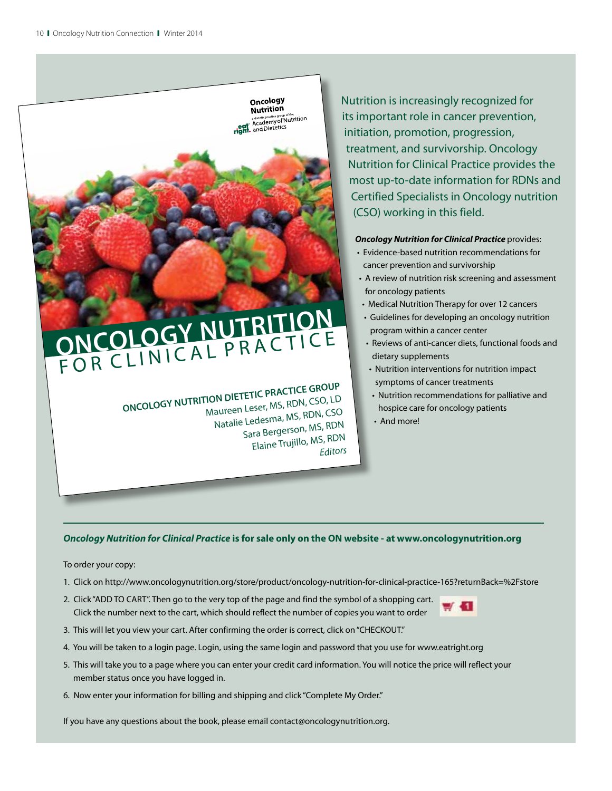Oncology **Nutrition NUTTILION**<br>a dietetic practice group of the<br>Academy of Nutrition<br>, and Dietetics

# **ONCOLOGY NUTRITION** ONCOLOGY NU FRACTICE

**OncOlOgy nutritiOn DiEtEtic PrActicE grOuP** Maureen Leser, MS, RDN, CSO, LD Natalie Ledesma, MS, RDN, CSO Sara Bergerson, MS, RDN Elaine Trujillo, MS, RDN *Editors*

Nutrition is increasingly recognized for its important role in cancer prevention, initiation, promotion, progression, treatment, and survivorship. Oncology Nutrition for Clinical Practice provides the most up-to-date information for RDNs and Certified Specialists in Oncology nutrition (CSO) working in this field.

#### **Oncology Nutrition for Clinical Practice** provides:

- Evidence-based nutrition recommendations for cancer prevention and survivorship
- A review of nutrition risk screening and assessment for oncology patients
- Medical Nutrition Therapy for over 12 cancers
- Guidelines for developing an oncology nutrition program within a cancer center
- Reviews of anti-cancer diets, functional foods and dietary supplements
- Nutrition interventions for nutrition impact symptoms of cancer treatments
- Nutrition recommendations for palliative and hospice care for oncology patients
- And more!

#### *Oncology Nutrition for Clinical Practice* **is for sale only on the ON website - at www.oncologynutrition.org**

To order your copy:

- 1. Click on http://www.oncologynutrition.org/store/product/oncology-nutrition-for-clinical-practice-165?returnBack=%2Fstore
- 2. Click "ADD TO CART". Then go to the very top of the page and find the symbol of a shopping cart. Click the number next to the cart, which should reflect the number of copies you want to order



- 3. This will let you view your cart. After confirming the order is correct, click on "CHECKOUT."
- 4. You will be taken to a login page. Login, using the same login and password that you use for www.eatright.org
- 5. This will take you to a page where you can enter your credit card information. You will notice the price will reflect your member status once you have logged in.
- 6. Now enter your information for billing and shipping and click "Complete My Order."

If you have any questions about the book, please email contact@oncologynutrition.org.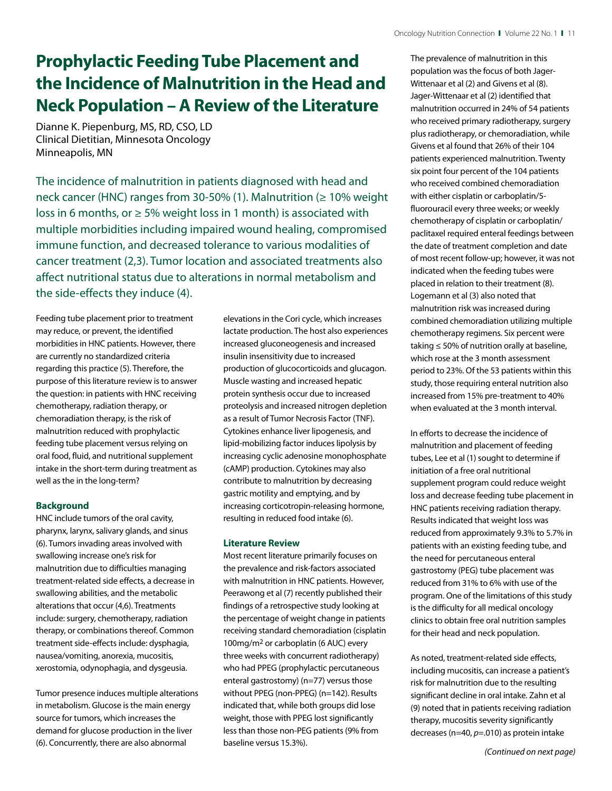### **Prophylactic Feeding Tube Placement and the Incidence of Malnutrition in the Head and Neck Population – A Review of the Literature**

Dianne K. Piepenburg, MS, RD, CSO, LD Clinical Dietitian, Minnesota Oncology Minneapolis, MN

The incidence of malnutrition in patients diagnosed with head and neck cancer (HNC) ranges from 30-50% (1). Malnutrition (≥ 10% weight loss in 6 months, or  $\geq$  5% weight loss in 1 month) is associated with multiple morbidities including impaired wound healing, compromised immune function, and decreased tolerance to various modalities of cancer treatment (2,3). Tumor location and associated treatments also affect nutritional status due to alterations in normal metabolism and the side-effects they induce (4).

Feeding tube placement prior to treatment may reduce, or prevent, the identified morbidities in HNC patients. However, there are currently no standardized criteria regarding this practice (5). Therefore, the purpose of this literature review is to answer the question: in patients with HNC receiving chemotherapy, radiation therapy, or chemoradiation therapy, is the risk of malnutrition reduced with prophylactic feeding tube placement versus relying on oral food, fluid, and nutritional supplement intake in the short-term during treatment as well as the in the long-term?

#### **Background**

HNC include tumors of the oral cavity, pharynx, larynx, salivary glands, and sinus (6). Tumors invading areas involved with swallowing increase one's risk for malnutrition due to difficulties managing treatment-related side effects, a decrease in swallowing abilities, and the metabolic alterations that occur (4,6). Treatments include: surgery, chemotherapy, radiation therapy, or combinations thereof. Common treatment side-effects include: dysphagia, nausea/vomiting, anorexia, mucositis, xerostomia, odynophagia, and dysgeusia.

Tumor presence induces multiple alterations in metabolism. Glucose is the main energy source for tumors, which increases the demand for glucose production in the liver (6). Concurrently, there are also abnormal

elevations in the Cori cycle, which increases lactate production. The host also experiences increased gluconeogenesis and increased insulin insensitivity due to increased production of glucocorticoids and glucagon. Muscle wasting and increased hepatic protein synthesis occur due to increased proteolysis and increased nitrogen depletion as a result of Tumor Necrosis Factor (TNF). Cytokines enhance liver lipogenesis, and lipid-mobilizing factor induces lipolysis by increasing cyclic adenosine monophosphate (cAMP) production. Cytokines may also contribute to malnutrition by decreasing gastric motility and emptying, and by increasing corticotropin-releasing hormone, resulting in reduced food intake (6).

#### **Literature Review**

Most recent literature primarily focuses on the prevalence and risk-factors associated with malnutrition in HNC patients. However, Peerawong et al (7) recently published their findings of a retrospective study looking at the percentage of weight change in patients receiving standard chemoradiation (cisplatin 100mg/m<sup>2</sup> or carboplatin (6 AUC) every three weeks with concurrent radiotherapy) who had PPEG (prophylactic percutaneous enteral gastrostomy) (n=77) versus those without PPEG (non-PPEG) (n=142). Results indicated that, while both groups did lose weight, those with PPEG lost significantly less than those non-PEG patients (9% from baseline versus 15.3%).

The prevalence of malnutrition in this population was the focus of both Jager-Wittenaar et al (2) and Givens et al (8). Jager-Wittenaar et al (2) identified that malnutrition occurred in 24% of 54 patients who received primary radiotherapy, surgery plus radiotherapy, or chemoradiation, while Givens et al found that 26% of their 104 patients experienced malnutrition. Twenty six point four percent of the 104 patients who received combined chemoradiation with either cisplatin or carboplatin/5 fluorouracil every three weeks; or weekly chemotherapy of cisplatin or carboplatin/ paclitaxel required enteral feedings between the date of treatment completion and date of most recent follow-up; however, it was not indicated when the feeding tubes were placed in relation to their treatment (8). Logemann et al (3) also noted that malnutrition risk was increased during combined chemoradiation utilizing multiple chemotherapy regimens. Six percent were taking  $\leq 50\%$  of nutrition orally at baseline, which rose at the 3 month assessment period to 23%. Of the 53 patients within this study, those requiring enteral nutrition also increased from 15% pre-treatment to 40% when evaluated at the 3 month interval.

In efforts to decrease the incidence of malnutrition and placement of feeding tubes, Lee et al (1) sought to determine if initiation of a free oral nutritional supplement program could reduce weight loss and decrease feeding tube placement in HNC patients receiving radiation therapy. Results indicated that weight loss was reduced from approximately 9.3% to 5.7% in patients with an existing feeding tube, and the need for percutaneous enteral gastrostomy (PEG) tube placement was reduced from 31% to 6% with use of the program. One of the limitations of this study is the difficulty for all medical oncology clinics to obtain free oral nutrition samples for their head and neck population.

As noted, treatment-related side effects, including mucositis, can increase a patient's risk for malnutrition due to the resulting significant decline in oral intake. Zahn et al (9) noted that in patients receiving radiation therapy, mucositis severity significantly decreases (n=40, *p*=.010) as protein intake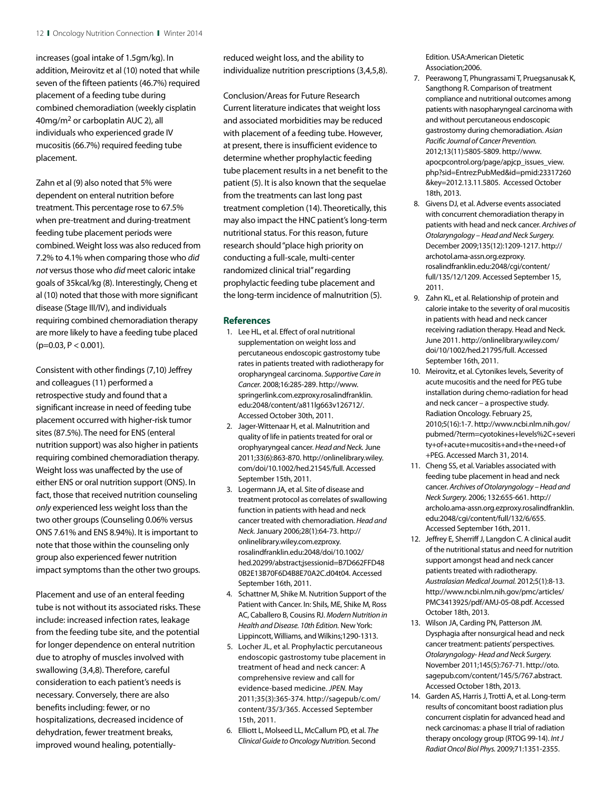increases (goal intake of 1.5gm/kg). In addition, Meirovitz et al (10) noted that while seven of the fifteen patients (46.7%) required placement of a feeding tube during combined chemoradiation (weekly cisplatin 40mg/m2 or carboplatin AUC 2), all individuals who experienced grade IV mucositis (66.7%) required feeding tube placement.

Zahn et al (9) also noted that 5% were dependent on enteral nutrition before treatment. This percentage rose to 67.5% when pre-treatment and during-treatment feeding tube placement periods were combined. Weight loss was also reduced from 7.2% to 4.1% when comparing those who *did not* versus those who *did* meet caloric intake goals of 35kcal/kg (8). Interestingly, Cheng et al (10) noted that those with more significant disease (Stage III/IV), and individuals requiring combined chemoradiation therapy are more likely to have a feeding tube placed  $(p=0.03, P < 0.001)$ .

Consistent with other findings (7,10) Jeffrey and colleagues (11) performed a retrospective study and found that a significant increase in need of feeding tube placement occurred with higher-risk tumor sites (87.5%). The need for ENS (enteral nutrition support) was also higher in patients requiring combined chemoradiation therapy. Weight loss was unaffected by the use of either ENS or oral nutrition support (ONS). In fact, those that received nutrition counseling *only* experienced less weight loss than the two other groups (Counseling 0.06% versus ONS 7.61% and ENS 8.94%). It is important to note that those within the counseling only group also experienced fewer nutrition impact symptoms than the other two groups.

Placement and use of an enteral feeding tube is not without its associated risks. These include: increased infection rates, leakage from the feeding tube site, and the potential for longer dependence on enteral nutrition due to atrophy of muscles involved with swallowing (3,4,8). Therefore, careful consideration to each patient's needs is necessary. Conversely, there are also benefits including: fewer, or no hospitalizations, decreased incidence of dehydration, fewer treatment breaks, improved wound healing, potentiallyreduced weight loss, and the ability to individualize nutrition prescriptions (3,4,5,8).

Conclusion/Areas for Future Research Current literature indicates that weight loss and associated morbidities may be reduced with placement of a feeding tube. However, at present, there is insufficient evidence to determine whether prophylactic feeding tube placement results in a net benefit to the patient (5). It is also known that the sequelae from the treatments can last long past treatment completion (14). Theoretically, this may also impact the HNC patient's long-term nutritional status. For this reason, future research should "place high priority on conducting a full-scale, multi-center randomized clinical trial" regarding prophylactic feeding tube placement and the long-term incidence of malnutrition (5).

#### **References**

- 1. Lee HL, et al. Effect of oral nutritional supplementation on weight loss and percutaneous endoscopic gastrostomy tube rates in patients treated with radiotherapy for oropharyngeal carcinoma. *Supportive Care in Cancer.* 2008;16:285-289. [http://www.]( http://www.springerlink.com.ezproxy.rosalindfranklin.edu:2048/content/a811lg663v126712/) [springerlink.com.ezproxy.rosalindfranklin.]( http://www.springerlink.com.ezproxy.rosalindfranklin.edu:2048/content/a811lg663v126712/) [edu:2048/content/a811lg663v126712/.]( http://www.springerlink.com.ezproxy.rosalindfranklin.edu:2048/content/a811lg663v126712/) Accessed October 30th, 2011.
- 2. Jager-Wittenaar H, et al. Malnutrition and quality of life in patients treated for oral or orophyaryngeal cancer. *Head and Neck.* June 2011;33(6):863-870. [http://onlinelibrary.wiley.](http://onlinelibrary.wiley.com/doi/10.1002/hed.21545/full) [com/doi/10.1002/hed.21545/full](http://onlinelibrary.wiley.com/doi/10.1002/hed.21545/full). Accessed September 15th, 2011.
- 3. Logermann JA, et al. Site of disease and treatment protocol as correlates of swallowing function in patients with head and neck cancer treated with chemoradiation. *Head and Neck.* January 2006;28(1):64-73. [http://](http://onlinelibrary.wiley.com.ezproxy.rosalindfranklin.edu:2048/doi/10.1002/hed.20299/abstract;jsessionid=B7D662FFD480B2E13B70F6D4B8E70A2C.d04t04) [onlinelibrary.wiley.com.ezproxy.](http://onlinelibrary.wiley.com.ezproxy.rosalindfranklin.edu:2048/doi/10.1002/hed.20299/abstract;jsessionid=B7D662FFD480B2E13B70F6D4B8E70A2C.d04t04) [rosalindfranklin.edu:2048/doi/10.1002/](http://onlinelibrary.wiley.com.ezproxy.rosalindfranklin.edu:2048/doi/10.1002/hed.20299/abstract;jsessionid=B7D662FFD480B2E13B70F6D4B8E70A2C.d04t04) [hed.20299/abstract;jsessionid=B7D662FFD48](http://onlinelibrary.wiley.com.ezproxy.rosalindfranklin.edu:2048/doi/10.1002/hed.20299/abstract;jsessionid=B7D662FFD480B2E13B70F6D4B8E70A2C.d04t04) [0B2E13B70F6D4B8E70A2C.d04t04](http://onlinelibrary.wiley.com.ezproxy.rosalindfranklin.edu:2048/doi/10.1002/hed.20299/abstract;jsessionid=B7D662FFD480B2E13B70F6D4B8E70A2C.d04t04). Accessed September 16th, 2011.
- 4. Schattner M, Shike M. Nutrition Support of the Patient with Cancer. In: Shils, ME, Shike M, Ross AC, Caballero B, Cousins RJ. *Modern Nutrition in Health and Disease. 10th Edition.* New York: Lippincott, Williams, and Wilkins;1290-1313.
- 5. Locher JL, et al. Prophylactic percutaneous endoscopic gastrostomy tube placement in treatment of head and neck cancer: A comprehensive review and call for evidence-based medicine. *JPEN.* May 2011;35(3):365-374. [http://sagepub/c.om/](http://sagepub/c.om/content/35/3/365) [content/35/3/365.](http://sagepub/c.om/content/35/3/365) Accessed September 15th, 2011.
- 6. Elliott L, Molseed LL, McCallum PD, et al. *The Clinical Guide to Oncology Nutrition.* Second

Edition*.* USA:American Dietetic Association;2006.

- 7. Peerawong T, Phungrassami T, Pruegsanusak K, Sangthong R. Comparison of treatment compliance and nutritional outcomes among patients with nasopharyngeal carcinoma with and without percutaneous endoscopic gastrostomy during chemoradiation. *Asian Pacific Journal of Cancer Prevention.*  2012;13(11):5805-5809. [http://www.](http://www.apocpcontrol.org/page/apjcp_issues_view.php?sid=Entrez:PubMed&id=pmid:23317260&key=2012.13.11.5805) [apocpcontrol.org/page/apjcp\\_issues\\_view.](http://www.apocpcontrol.org/page/apjcp_issues_view.php?sid=Entrez:PubMed&id=pmid:23317260&key=2012.13.11.5805) [php?sid=Entrez:PubMed&id=pmid:23317260](http://www.apocpcontrol.org/page/apjcp_issues_view.php?sid=Entrez:PubMed&id=pmid:23317260&key=2012.13.11.5805) [&key=2012.13.11.5805.](http://www.apocpcontrol.org/page/apjcp_issues_view.php?sid=Entrez:PubMed&id=pmid:23317260&key=2012.13.11.5805) Accessed October 18th, 2013.
- 8. Givens DJ, et al. Adverse events associated with concurrent chemoradiation therapy in patients with head and neck cancer. *Archives of Otolaryngology – Head and Neck Surgery.*  December 2009;135(12):1209-1217. [http://](http://archotol.ama-assn.org.ezproxy.rosalindfranklin.edu:2048/cgi/content/full/135/12/1209) [archotol.ama-assn.org.ezproxy.](http://archotol.ama-assn.org.ezproxy.rosalindfranklin.edu:2048/cgi/content/full/135/12/1209) [rosalindfranklin.edu:2048/cgi/content/](http://archotol.ama-assn.org.ezproxy.rosalindfranklin.edu:2048/cgi/content/full/135/12/1209) [full/135/12/1209.](http://archotol.ama-assn.org.ezproxy.rosalindfranklin.edu:2048/cgi/content/full/135/12/1209) Accessed September 15, 2011.
- 9. Zahn KL, et al. Relationship of protein and calorie intake to the severity of oral mucositis in patients with head and neck cancer receiving radiation therapy. Head and Neck. June 2011. [http://onlinelibrary.wiley.com/](http://onlinelibrary.wiley.com/doi/10/1002/hed.21795/full) [doi/10/1002/hed.21795/full.](http://onlinelibrary.wiley.com/doi/10/1002/hed.21795/full) Accessed September 16th, 2011.
- 10. Meirovitz, et al. Cytonikes levels, Severity of acute mucositis and the need for PEG tube installation during chemo-radiation for head and neck cancer – a prospective study. Radiation Oncology. February 25, 2010;5(16):1-7. [http://www.ncbi.nlm.nih.gov/](http://www.ncbi.nlm.nih.gov/pubmed/?term=cyotokines+levels%2C+severity+of+acute+mucositis+and+the+need+of+PEG) [pubmed/?term=cyotokines+levels%2C+severi](http://www.ncbi.nlm.nih.gov/pubmed/?term=cyotokines+levels%2C+severity+of+acute+mucositis+and+the+need+of+PEG) [ty+of+acute+mucositis+and+the+need+of](http://www.ncbi.nlm.nih.gov/pubmed/?term=cyotokines+levels%2C+severity+of+acute+mucositis+and+the+need+of+PEG) [+PEG.](http://www.ncbi.nlm.nih.gov/pubmed/?term=cyotokines+levels%2C+severity+of+acute+mucositis+and+the+need+of+PEG) Accessed March 31, 2014.
- 11. Cheng SS, et al. Variables associated with feeding tube placement in head and neck cancer. *Archives of Otolaryngology – Head and Neck Surgery.* 2006; 132:655-661. [http://](http://archolo.ama-assn.org.ezproxy.rosalindfranklin.edu:2048/cgi/content/full/132/6/655) [archolo.ama-assn.org.ezproxy.rosalindfranklin.](http://archolo.ama-assn.org.ezproxy.rosalindfranklin.edu:2048/cgi/content/full/132/6/655) [edu:2048/cgi/content/full/132/6/655](http://archolo.ama-assn.org.ezproxy.rosalindfranklin.edu:2048/cgi/content/full/132/6/655). Accessed September 16th, 2011.
- 12. Jeffrey E, Sherriff J, Langdon C. A clinical audit of the nutritional status and need for nutrition support amongst head and neck cancer patients treated with radiotherapy. *Australasian Medical Journal.* 2012;5(1):8-13. [http://www.ncbi.nlm.nih.gov/pmc/articles/](http://www.ncbi.nlm.nih.gov/pmc/articles/PMC3413925/pdf/AMJ-05-08.pdf) [PMC3413925/pdf/AMJ-05-08.pdf.](http://www.ncbi.nlm.nih.gov/pmc/articles/PMC3413925/pdf/AMJ-05-08.pdf) Accessed October 18th, 2013.
- 13. Wilson JA, Carding PN, Patterson JM. Dysphagia after nonsurgical head and neck cancer treatment: patients' perspectives. *Otolaryngology- Head and Neck Surgery.*  November 2011;145(5):767-71[. http://oto.]( http://oto.sagepub.com/content/145/5/767.abstract) [sagepub.com/content/145/5/767.abstract.]( http://oto.sagepub.com/content/145/5/767.abstract) Accessed October 18th, 2013.
- 14. Garden AS, Harris J, Trotti A, et al. Long-term results of concomitant boost radiation plus concurrent cisplatin for advanced head and neck carcinomas: a phase II trial of radiation therapy oncology group (RTOG 99-14). *Int J Radiat Oncol Biol Phys.* 2009;71:1351-2355.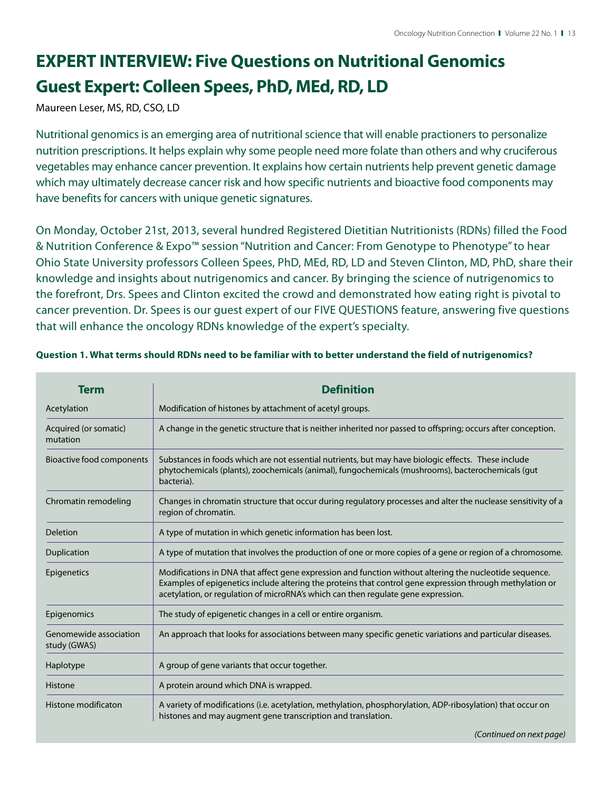### **EXPERT INTERVIEW: Five Questions on Nutritional Genomics Guest Expert: Colleen Spees, PhD, MEd, RD, LD**

Maureen Leser, MS, RD, CSO, LD

Nutritional genomics is an emerging area of nutritional science that will enable practioners to personalize nutrition prescriptions. It helps explain why some people need more folate than others and why cruciferous vegetables may enhance cancer prevention. It explains how certain nutrients help prevent genetic damage which may ultimately decrease cancer risk and how specific nutrients and bioactive food components may have benefits for cancers with unique genetic signatures.

On Monday, October 21st, 2013, several hundred Registered Dietitian Nutritionists (RDNs) filled the Food & Nutrition Conference & Expo™ session "Nutrition and Cancer: From Genotype to Phenotype" to hear Ohio State University professors Colleen Spees, PhD, MEd, RD, LD and Steven Clinton, MD, PhD, share their knowledge and insights about nutrigenomics and cancer. By bringing the science of nutrigenomics to the forefront, Drs. Spees and Clinton excited the crowd and demonstrated how eating right is pivotal to cancer prevention. Dr. Spees is our guest expert of our FIVE QUESTIONS feature, answering five questions that will enhance the oncology RDNs knowledge of the expert's specialty.

| Term                                   | <b>Definition</b>                                                                                                                                                                                                                                                                                         |  |  |  |
|----------------------------------------|-----------------------------------------------------------------------------------------------------------------------------------------------------------------------------------------------------------------------------------------------------------------------------------------------------------|--|--|--|
| Acetylation                            | Modification of histones by attachment of acetyl groups.                                                                                                                                                                                                                                                  |  |  |  |
| Acquired (or somatic)<br>mutation      | A change in the genetic structure that is neither inherited nor passed to offspring; occurs after conception.                                                                                                                                                                                             |  |  |  |
| Bioactive food components              | Substances in foods which are not essential nutrients, but may have biologic effects. These include<br>phytochemicals (plants), zoochemicals (animal), fungochemicals (mushrooms), bacterochemicals (qut<br>bacteria).                                                                                    |  |  |  |
| Chromatin remodeling                   | Changes in chromatin structure that occur during regulatory processes and alter the nuclease sensitivity of a<br>region of chromatin.                                                                                                                                                                     |  |  |  |
| Deletion                               | A type of mutation in which genetic information has been lost.                                                                                                                                                                                                                                            |  |  |  |
| Duplication                            | A type of mutation that involves the production of one or more copies of a gene or region of a chromosome.                                                                                                                                                                                                |  |  |  |
| Epigenetics                            | Modifications in DNA that affect gene expression and function without altering the nucleotide sequence.<br>Examples of epigenetics include altering the proteins that control gene expression through methylation or<br>acetylation, or regulation of microRNA's which can then regulate gene expression. |  |  |  |
| Epigenomics                            | The study of epigenetic changes in a cell or entire organism.                                                                                                                                                                                                                                             |  |  |  |
| Genomewide association<br>study (GWAS) | An approach that looks for associations between many specific genetic variations and particular diseases.                                                                                                                                                                                                 |  |  |  |
| Haplotype                              | A group of gene variants that occur together.                                                                                                                                                                                                                                                             |  |  |  |
| Histone                                | A protein around which DNA is wrapped.                                                                                                                                                                                                                                                                    |  |  |  |
| Histone modificaton                    | A variety of modifications (i.e. acetylation, methylation, phosphorylation, ADP-ribosylation) that occur on<br>histones and may augment gene transcription and translation.                                                                                                                               |  |  |  |

#### **Question 1. What terms should RDNs need to be familiar with to better understand the field of nutrigenomics?**

*(Continued on next page)*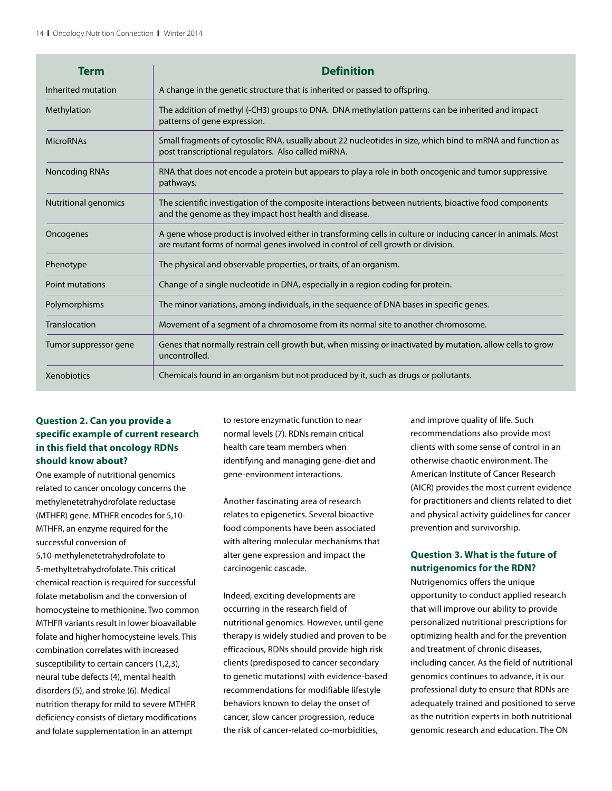| Term                   | <b>Definition</b>                                                                                                                                                                                |  |  |  |  |
|------------------------|--------------------------------------------------------------------------------------------------------------------------------------------------------------------------------------------------|--|--|--|--|
| Inherited mutation     | A change in the genetic structure that is inherited or passed to offspring.                                                                                                                      |  |  |  |  |
| Methylation            | The addition of methyl (-CH3) groups to DNA. DNA methylation patterns can be inherited and impact<br>patterns of gene expression.                                                                |  |  |  |  |
| <b>MicroRNAs</b>       | Small fragments of cytosolic RNA, usually about 22 nucleotides in size, which bind to mRNA and function as<br>post transcriptional regulators. Also called miRNA.                                |  |  |  |  |
| <b>Noncoding RNAs</b>  | RNA that does not encode a protein but appears to play a role in both oncogenic and tumor suppressive<br>pathways.                                                                               |  |  |  |  |
| Nutritional genomics   | The scientific investigation of the composite interactions between nutrients, bioactive food components<br>and the genome as they impact host health and disease.                                |  |  |  |  |
| Oncogenes              | A gene whose product is involved either in transforming cells in culture or inducing cancer in animals. Most<br>are mutant forms of normal genes involved in control of cell growth or division. |  |  |  |  |
| Phenotype              | The physical and observable properties, or traits, of an organism.                                                                                                                               |  |  |  |  |
| <b>Point mutations</b> | Change of a single nucleotide in DNA, especially in a region coding for protein.                                                                                                                 |  |  |  |  |
| Polymorphisms          | The minor variations, among individuals, in the sequence of DNA bases in specific genes.                                                                                                         |  |  |  |  |
| Translocation          | Movement of a segment of a chromosome from its normal site to another chromosome.                                                                                                                |  |  |  |  |
| Tumor suppressor gene  | Genes that normally restrain cell growth but, when missing or inactivated by mutation, allow cells to grow<br>uncontrolled.                                                                      |  |  |  |  |
| Xenobiotics            | Chemicals found in an organism but not produced by it, such as drugs or pollutants.                                                                                                              |  |  |  |  |

#### **Question 2. Can you provide a specific example of current research in this field that oncology RDNs should know about?**

One example of nutritional genomics related to cancer oncology concerns the methylenetetrahydrofolate reductase (MTHFR) gene. MTHFR encodes for 5,10- MTHFR, an enzyme required for the successful conversion of 5,10-methylenetetrahydrofolate to 5-methyltetrahydrofolate. This critical chemical reaction is required for successful folate metabolism and the conversion of homocysteine to methionine. Two common MTHFR variants result in lower bioavailable folate and higher homocysteine levels. This combination correlates with increased susceptibility to certain cancers (1,2,3), neural tube defects (4), mental health disorders (5), and stroke (6). Medical nutrition therapy for mild to severe MTHFR deficiency consists of dietary modifications and folate supplementation in an attempt

to restore enzymatic function to near normal levels (7). RDNs remain critical health care team members when identifying and managing gene-diet and gene-environment interactions.

Another fascinating area of research relates to epigenetics. Several bioactive food components have been associated with altering molecular mechanisms that alter gene expression and impact the carcinogenic cascade.

Indeed, exciting developments are occurring in the research field of nutritional genomics. However, until gene therapy is widely studied and proven to be efficacious, RDNs should provide high risk clients (predisposed to cancer secondary to genetic mutations) with evidence-based recommendations for modifiable lifestyle behaviors known to delay the onset of cancer, slow cancer progression, reduce the risk of cancer-related co-morbidities,

and improve quality of life. Such recommendations also provide most clients with some sense of control in an otherwise chaotic environment. The American Institute of Cancer Research (AICR) provides the most current evidence for practitioners and clients related to diet and physical activity guidelines for cancer prevention and survivorship.

#### **Question 3. What is the future of nutrigenomics for the RDN?**

Nutrigenomics offers the unique opportunity to conduct applied research that will improve our ability to provide personalized nutritional prescriptions for optimizing health and for the prevention and treatment of chronic diseases, including cancer. As the field of nutritional genomics continues to advance, it is our professional duty to ensure that RDNs are adequately trained and positioned to serve as the nutrition experts in both nutritional genomic research and education. The ON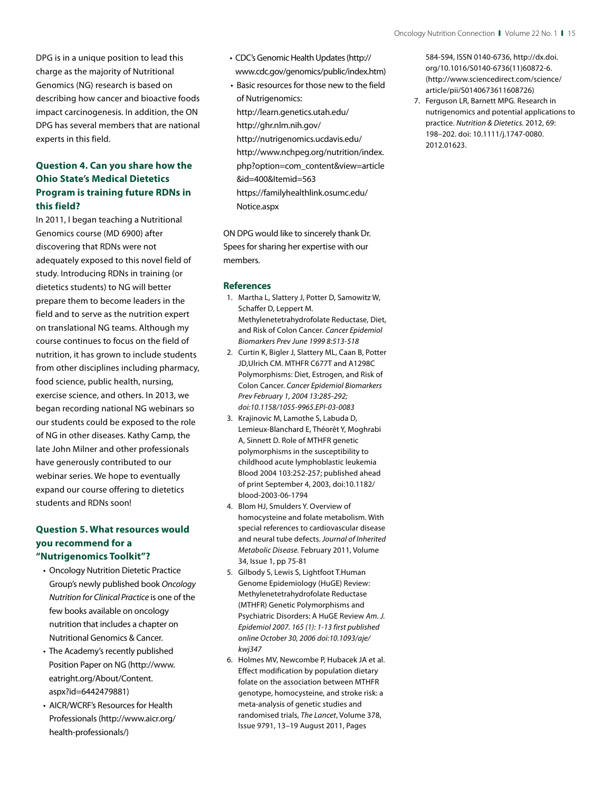DPG is in a unique position to lead this charge as the majority of Nutritional Genomics (NG) research is based on describing how cancer and bioactive foods impact carcinogenesis. In addition, the ON DPG has several members that are national experts in this field.

#### **Question 4. Can you share how the Ohio State's Medical Dietetics Program is training future RDNs in this field?**

In 2011, I began teaching a Nutritional Genomics course (MD 6900) after discovering that RDNs were not adequately exposed to this novel field of study. Introducing RDNs in training (or dietetics students) to NG will better prepare them to become leaders in the field and to serve as the nutrition expert on translational NG teams. Although my course continues to focus on the field of nutrition, it has grown to include students from other disciplines including pharmacy, food science, public health, nursing, exercise science, and others. In 2013, we began recording national NG webinars so our students could be exposed to the role of NG in other diseases. Kathy Camp, the late John Milner and other professionals have generously contributed to our webinar series. We hope to eventually expand our course offering to dietetics students and RDNs soon!

#### **Question 5. What resources would you recommend for a "Nutrigenomics Toolkit"?**

- Oncology Nutrition Dietetic Practice Group's newly published book *Oncology Nutrition for Clinical Practice* is one of the few books available on oncology nutrition that includes a chapter on Nutritional Genomics & Cancer.
- The Academy's recently published Position Paper on NG (http://www. eatright.org/About/Content. aspx?id=6442479881)
- AICR/WCRF's Resources for Health Professionals (http://www.aicr.org/ health-professionals/)
- CDC's Genomic Health Updates (http:// www.cdc.gov/genomics/public/index.htm)
- Basic resources for those new to the field of Nutrigenomics: http://learn.genetics.utah.edu/ http://ghr.nlm.nih.gov/ http://nutrigenomics.ucdavis.edu/ [http://www.nchpeg.org/nutrition/index.](http://www.nchpeg.org/nutrition/index.php?option=com_content&view=article&id=400&Itemid=563) [php?option=com\\_content&view=article](http://www.nchpeg.org/nutrition/index.php?option=com_content&view=article&id=400&Itemid=563) [&id=400&Itemid=563](http://www.nchpeg.org/nutrition/index.php?option=com_content&view=article&id=400&Itemid=563) [https://familyhealthlink.osumc.edu/](https://familyhealthlink.osumc.edu/Notice.aspx) [Notice.aspx](https://familyhealthlink.osumc.edu/Notice.aspx)

ON DPG would like to sincerely thank Dr. Spees for sharing her expertise with our members.

#### **References**

- 1. Martha L, Slattery J, Potter D, Samowitz W, Schaffer D, Leppert M. Methylenetetrahydrofolate Reductase, Diet, and Risk of Colon Cancer. *Cancer Epidemiol Biomarkers Prev June 1999 8:513-518*
- 2. Curtin K, Bigler J, Slattery ML, Caan B, Potter JD,Ulrich CM. MTHFR C677T and A1298C Polymorphisms: Diet, Estrogen, and Risk of Colon Cancer. *Cancer Epidemiol Biomarkers Prev February 1, 2004 13:285-292; doi:10.1158/1055-9965.EPI-03-0083*
- 3. Krajinovic M, Lamothe S, Labuda D, Lemieux-Blanchard E, Théorêt Y, Moghrabi A, Sinnett D. Role of MTHFR genetic polymorphisms in the susceptibility to childhood acute lymphoblastic leukemia Blood 2004 103:252-257; published ahead of print September 4, 2003, doi:10.1182/ blood-2003-06-1794
- 4. Blom HJ, Smulders Y. Overview of homocysteine and folate metabolism. With special references to cardiovascular disease and neural tube defects. *Journal of Inherited Metabolic Disease.* February 2011, Volume 34, Issue 1, pp 75-81
- 5. Gilbody S, Lewis S, Lightfoot T.Human Genome Epidemiology (HuGE) Review: Methylenetetrahydrofolate Reductase (MTHFR) Genetic Polymorphisms and Psychiatric Disorders: A HuGE Review *Am. J. Epidemiol 2007. 165 (1): 1-13 first published online October 30, 2006 doi:10.1093/aje/ kwj347*
- 6. Holmes MV, Newcombe P, Hubacek JA et al. Effect modification by population dietary folate on the association between MTHFR genotype, homocysteine, and stroke risk: a meta-analysis of genetic studies and randomised trials, *The Lancet*, Volume 378, Issue 9791, 13–19 August 2011, Pages

584-594, ISSN 0140-6736, http://dx.doi. org/10.1016/S0140-6736(11)60872-6. [\(http://www.sciencedirect.com/science/](http://www.sciencedirect.com/science/article/pii/S0140673611608726) [article/pii/S0140673611608726](http://www.sciencedirect.com/science/article/pii/S0140673611608726))

 7. Ferguson LR, Barnett MPG. Research in nutrigenomics and potential applications to practice. *Nutrition & Dietetics.* 2012, 69: 198–202. doi: 10.1111/j.1747-0080. 2012.01623.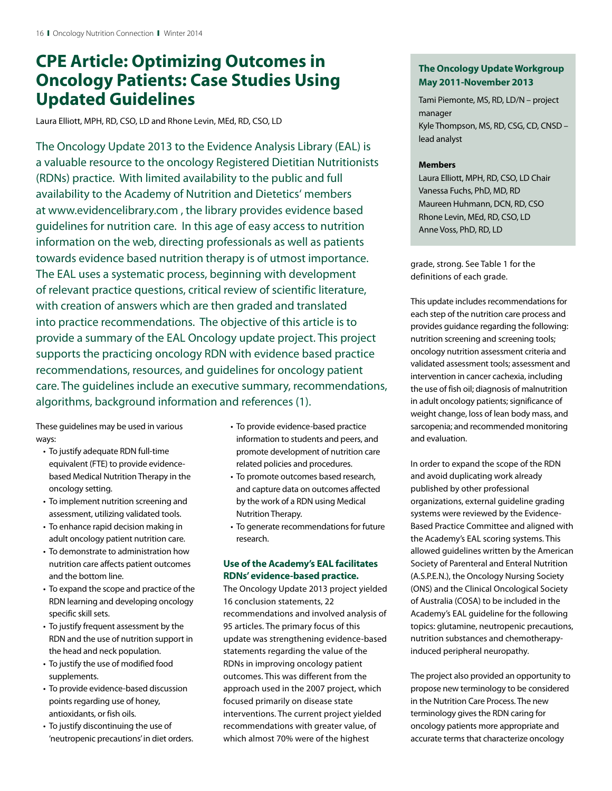### **CPE Article: Optimizing Outcomes in Oncology Patients: Case Studies Using Updated Guidelines**

Laura Elliott, MPH, RD, CSO, LD and Rhone Levin, MEd, RD, CSO, LD

The Oncology Update 2013 to the Evidence Analysis Library (EAL) is a valuable resource to the oncology Registered Dietitian Nutritionists (RDNs) practice. With limited availability to the public and full availability to the Academy of Nutrition and Dietetics' members at www.evidencelibrary.com , the library provides evidence based guidelines for nutrition care. In this age of easy access to nutrition information on the web, directing professionals as well as patients towards evidence based nutrition therapy is of utmost importance. The EAL uses a systematic process, beginning with development of relevant practice questions, critical review of scientific literature, with creation of answers which are then graded and translated into practice recommendations. The objective of this article is to provide a summary of the EAL Oncology update project. This project supports the practicing oncology RDN with evidence based practice recommendations, resources, and guidelines for oncology patient care. The guidelines include an executive summary, recommendations, algorithms, background information and references (1).

These guidelines may be used in various ways:

- To justify adequate RDN full-time equivalent (FTE) to provide evidencebased Medical Nutrition Therapy in the oncology setting.
- To implement nutrition screening and assessment, utilizing validated tools.
- To enhance rapid decision making in adult oncology patient nutrition care.
- To demonstrate to administration how nutrition care affects patient outcomes and the bottom line.
- To expand the scope and practice of the RDN learning and developing oncology specific skill sets.
- To justify frequent assessment by the RDN and the use of nutrition support in the head and neck population.
- To justify the use of modified food supplements.
- To provide evidence-based discussion points regarding use of honey, antioxidants, or fish oils.
- To justify discontinuing the use of 'neutropenic precautions' in diet orders.
- To provide evidence-based practice information to students and peers, and promote development of nutrition care related policies and procedures.
- To promote outcomes based research, and capture data on outcomes affected by the work of a RDN using Medical Nutrition Therapy.
- To generate recommendations for future research.

#### **Use of the Academy's EAL facilitates RDNs' evidence-based practice.**

The Oncology Update 2013 project yielded 16 conclusion statements, 22 recommendations and involved analysis of 95 articles. The primary focus of this update was strengthening evidence-based statements regarding the value of the RDNs in improving oncology patient outcomes. This was different from the approach used in the 2007 project, which focused primarily on disease state interventions. The current project yielded recommendations with greater value, of which almost 70% were of the highest

#### **The Oncology Update Workgroup May 2011-November 2013**

Tami Piemonte, MS, RD, LD/N – project manager Kyle Thompson, MS, RD, CSG, CD, CNSD – lead analyst

#### **Members**

Laura Elliott, MPH, RD, CSO, LD Chair Vanessa Fuchs, PhD, MD, RD Maureen Huhmann, DCN, RD, CSO Rhone Levin, MEd, RD, CSO, LD Anne Voss, PhD, RD, LD

grade, strong. See Table 1 for the definitions of each grade.

This update includes recommendations for each step of the nutrition care process and provides guidance regarding the following: nutrition screening and screening tools; oncology nutrition assessment criteria and validated assessment tools; assessment and intervention in cancer cachexia, including the use of fish oil; diagnosis of malnutrition in adult oncology patients; significance of weight change, loss of lean body mass, and sarcopenia; and recommended monitoring and evaluation.

In order to expand the scope of the RDN and avoid duplicating work already published by other professional organizations, external guideline grading systems were reviewed by the Evidence-Based Practice Committee and aligned with the Academy's EAL scoring systems. This allowed guidelines written by the American Society of Parenteral and Enteral Nutrition (A.S.P.E.N.), the Oncology Nursing Society (ONS) and the Clinical Oncological Society of Australia (COSA) to be included in the Academy's EAL guideline for the following topics: glutamine, neutropenic precautions, nutrition substances and chemotherapyinduced peripheral neuropathy.

The project also provided an opportunity to propose new terminology to be considered in the Nutrition Care Process. The new terminology gives the RDN caring for oncology patients more appropriate and accurate terms that characterize oncology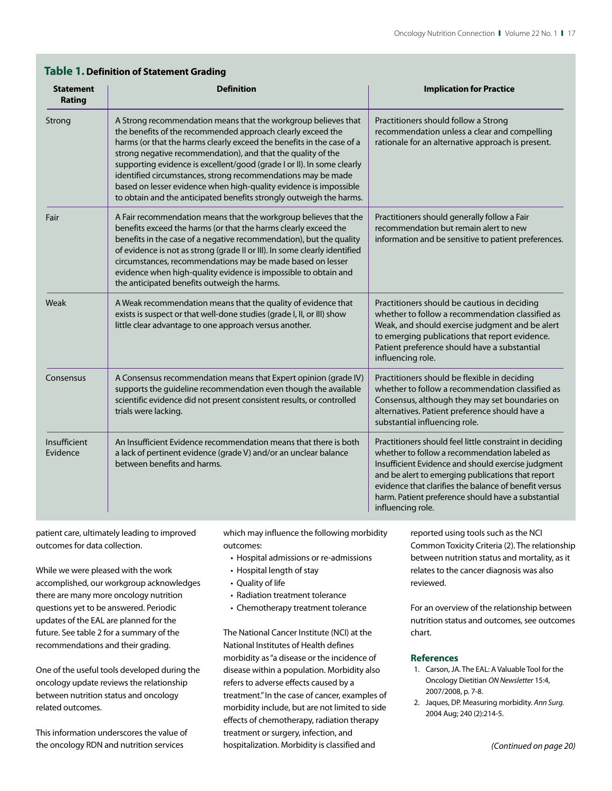| <b>Statement</b>         | <b>Definition</b>                                                                                                                                                                                                                                                                                                                                                                                                                                                                                                                                            | <b>Implication for Practice</b>                                                                                                                                                                                                                                                                                                                         |
|--------------------------|--------------------------------------------------------------------------------------------------------------------------------------------------------------------------------------------------------------------------------------------------------------------------------------------------------------------------------------------------------------------------------------------------------------------------------------------------------------------------------------------------------------------------------------------------------------|---------------------------------------------------------------------------------------------------------------------------------------------------------------------------------------------------------------------------------------------------------------------------------------------------------------------------------------------------------|
| Rating<br>Strong         | A Strong recommendation means that the workgroup believes that<br>the benefits of the recommended approach clearly exceed the<br>harms (or that the harms clearly exceed the benefits in the case of a<br>strong negative recommendation), and that the quality of the<br>supporting evidence is excellent/good (grade I or II). In some clearly<br>identified circumstances, strong recommendations may be made<br>based on lesser evidence when high-quality evidence is impossible<br>to obtain and the anticipated benefits strongly outweigh the harms. | Practitioners should follow a Strong<br>recommendation unless a clear and compelling<br>rationale for an alternative approach is present.                                                                                                                                                                                                               |
| Fair                     | A Fair recommendation means that the workgroup believes that the<br>benefits exceed the harms (or that the harms clearly exceed the<br>benefits in the case of a negative recommendation), but the quality<br>of evidence is not as strong (grade II or III). In some clearly identified<br>circumstances, recommendations may be made based on lesser<br>evidence when high-quality evidence is impossible to obtain and<br>the anticipated benefits outweigh the harms.                                                                                    | Practitioners should generally follow a Fair<br>recommendation but remain alert to new<br>information and be sensitive to patient preferences.                                                                                                                                                                                                          |
| Weak                     | A Weak recommendation means that the quality of evidence that<br>exists is suspect or that well-done studies (grade I, II, or III) show<br>little clear advantage to one approach versus another.                                                                                                                                                                                                                                                                                                                                                            | Practitioners should be cautious in deciding<br>whether to follow a recommendation classified as<br>Weak, and should exercise judgment and be alert<br>to emerging publications that report evidence.<br>Patient preference should have a substantial<br>influencing role.                                                                              |
| Consensus                | A Consensus recommendation means that Expert opinion (grade IV)<br>supports the guideline recommendation even though the available<br>scientific evidence did not present consistent results, or controlled<br>trials were lacking.                                                                                                                                                                                                                                                                                                                          | Practitioners should be flexible in deciding<br>whether to follow a recommendation classified as<br>Consensus, although they may set boundaries on<br>alternatives. Patient preference should have a<br>substantial influencing role.                                                                                                                   |
| Insufficient<br>Evidence | An Insufficient Evidence recommendation means that there is both<br>a lack of pertinent evidence (grade V) and/or an unclear balance<br>between benefits and harms.                                                                                                                                                                                                                                                                                                                                                                                          | Practitioners should feel little constraint in deciding<br>whether to follow a recommendation labeled as<br>Insufficient Evidence and should exercise judgment<br>and be alert to emerging publications that report<br>evidence that clarifies the balance of benefit versus<br>harm. Patient preference should have a substantial<br>influencing role. |

#### **Table 1. Definition of Statement Grading**

patient care, ultimately leading to improved outcomes for data collection.

While we were pleased with the work accomplished, our workgroup acknowledges there are many more oncology nutrition questions yet to be answered. Periodic updates of the EAL are planned for the future. See table 2 for a summary of the recommendations and their grading.

One of the useful tools developed during the oncology update reviews the relationship between nutrition status and oncology related outcomes.

This information underscores the value of the oncology RDN and nutrition services

which may influence the following morbidity outcomes:

- Hospital admissions or re-admissions
- Hospital length of stay
- Quality of life
- Radiation treatment tolerance
- Chemotherapy treatment tolerance

The National Cancer Institute (NCI) at the National Institutes of Health defines morbidity as "a disease or the incidence of disease within a population. Morbidity also refers to adverse effects caused by a treatment." In the case of cancer, examples of morbidity include, but are not limited to side effects of chemotherapy, radiation therapy treatment or surgery, infection, and hospitalization. Morbidity is classified and

reported using tools such as the NCI Common Toxicity Criteria (2). The relationship between nutrition status and mortality, as it relates to the cancer diagnosis was also reviewed.

For an overview of the relationship between nutrition status and outcomes, see outcomes chart.

#### **References**

- 1. Carson, JA. The EAL: A Valuable Tool for the Oncology Dietitian *ON Newsletter* 15:4, 2007/2008, p. 7-8.
- 2. Jaques, DP. Measuring morbidity. *Ann Surg.*  2004 Aug; 240 (2):214-5.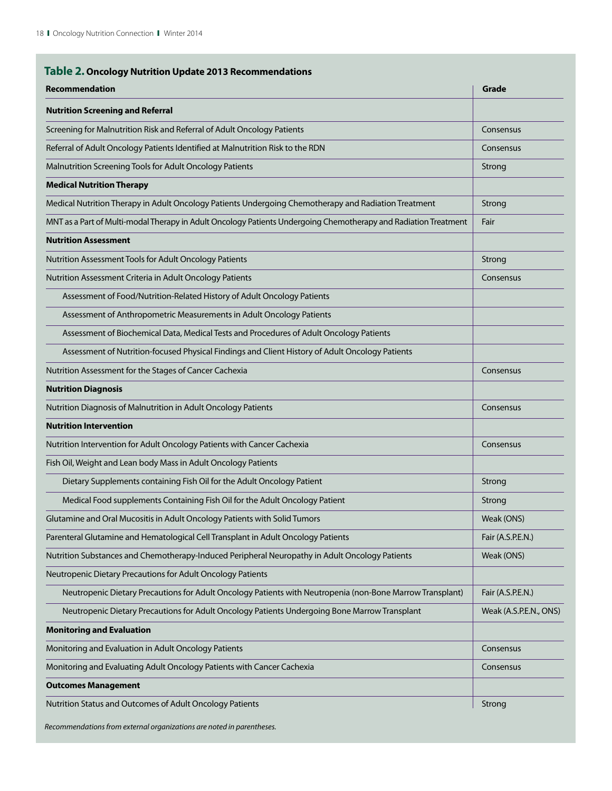#### **Table 2. Oncology Nutrition Update 2013 Recommendations**

| <b>Recommendation</b>                                                                                           | Grade                  |  |
|-----------------------------------------------------------------------------------------------------------------|------------------------|--|
| <b>Nutrition Screening and Referral</b>                                                                         |                        |  |
| Screening for Malnutrition Risk and Referral of Adult Oncology Patients                                         | Consensus              |  |
| Referral of Adult Oncology Patients Identified at Malnutrition Risk to the RDN                                  | Consensus              |  |
| Malnutrition Screening Tools for Adult Oncology Patients                                                        | Strong                 |  |
| <b>Medical Nutrition Therapy</b>                                                                                |                        |  |
| Medical Nutrition Therapy in Adult Oncology Patients Undergoing Chemotherapy and Radiation Treatment            | Strong                 |  |
| MNT as a Part of Multi-modal Therapy in Adult Oncology Patients Undergoing Chemotherapy and Radiation Treatment | Fair                   |  |
| <b>Nutrition Assessment</b>                                                                                     |                        |  |
| Nutrition Assessment Tools for Adult Oncology Patients                                                          | Strong                 |  |
| Nutrition Assessment Criteria in Adult Oncology Patients                                                        | Consensus              |  |
| Assessment of Food/Nutrition-Related History of Adult Oncology Patients                                         |                        |  |
| Assessment of Anthropometric Measurements in Adult Oncology Patients                                            |                        |  |
| Assessment of Biochemical Data, Medical Tests and Procedures of Adult Oncology Patients                         |                        |  |
| Assessment of Nutrition-focused Physical Findings and Client History of Adult Oncology Patients                 |                        |  |
| Nutrition Assessment for the Stages of Cancer Cachexia                                                          | Consensus              |  |
| <b>Nutrition Diagnosis</b>                                                                                      |                        |  |
| Nutrition Diagnosis of Malnutrition in Adult Oncology Patients                                                  | Consensus              |  |
| <b>Nutrition Intervention</b>                                                                                   |                        |  |
| Nutrition Intervention for Adult Oncology Patients with Cancer Cachexia                                         | Consensus              |  |
| Fish Oil, Weight and Lean body Mass in Adult Oncology Patients                                                  |                        |  |
| Dietary Supplements containing Fish Oil for the Adult Oncology Patient                                          | Strong                 |  |
| Medical Food supplements Containing Fish Oil for the Adult Oncology Patient                                     | Strong                 |  |
| Glutamine and Oral Mucositis in Adult Oncology Patients with Solid Tumors                                       | Weak (ONS)             |  |
| Parenteral Glutamine and Hematological Cell Transplant in Adult Oncology Patients                               | Fair (A.S.P.E.N.)      |  |
| Nutrition Substances and Chemotherapy-Induced Peripheral Neuropathy in Adult Oncology Patients                  | Weak (ONS)             |  |
| Neutropenic Dietary Precautions for Adult Oncology Patients                                                     |                        |  |
| Neutropenic Dietary Precautions for Adult Oncology Patients with Neutropenia (non-Bone Marrow Transplant)       | Fair (A.S.P.E.N.)      |  |
| Neutropenic Dietary Precautions for Adult Oncology Patients Undergoing Bone Marrow Transplant                   | Weak (A.S.P.E.N., ONS) |  |
| <b>Monitoring and Evaluation</b>                                                                                |                        |  |
| Monitoring and Evaluation in Adult Oncology Patients                                                            | Consensus              |  |
| Monitoring and Evaluating Adult Oncology Patients with Cancer Cachexia                                          | Consensus              |  |
| <b>Outcomes Management</b>                                                                                      |                        |  |
| Nutrition Status and Outcomes of Adult Oncology Patients                                                        | Strong                 |  |

*Recommendations from external organizations are noted in parentheses.*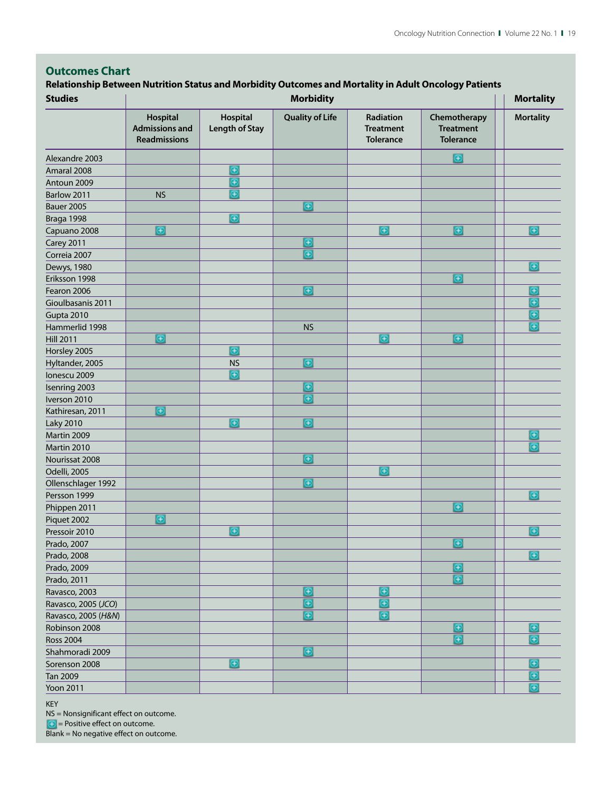#### **Outcomes Chart**

#### **Relationship Between Nutrition Status and Morbidity Outcomes and Mortality in Adult Oncology Patients**

| <b>Studies</b>      | <b>Morbidity</b>                                         |                                   |                         | <b>Mortality</b>                                  |                                                      |                                                     |
|---------------------|----------------------------------------------------------|-----------------------------------|-------------------------|---------------------------------------------------|------------------------------------------------------|-----------------------------------------------------|
|                     | Hospital<br><b>Admissions and</b><br><b>Readmissions</b> | Hospital<br><b>Length of Stay</b> | <b>Quality of Life</b>  | Radiation<br><b>Treatment</b><br><b>Tolerance</b> | Chemotherapy<br><b>Treatment</b><br><b>Tolerance</b> | <b>Mortality</b>                                    |
| Alexandre 2003      |                                                          |                                   |                         |                                                   | Œ                                                    |                                                     |
| Amaral 2008         |                                                          | Θ                                 |                         |                                                   |                                                      |                                                     |
| Antoun 2009         |                                                          | Œ                                 |                         |                                                   |                                                      |                                                     |
| Barlow 2011         | <b>NS</b>                                                | Œ                                 |                         |                                                   |                                                      |                                                     |
| <b>Bauer 2005</b>   |                                                          |                                   | Œ                       |                                                   |                                                      |                                                     |
| Braga 1998          |                                                          | Ŧ                                 |                         |                                                   |                                                      |                                                     |
| Capuano 2008        | Θ                                                        |                                   |                         | Œ                                                 | Ŧ                                                    | Ð                                                   |
| <b>Carey 2011</b>   |                                                          |                                   | Œ                       |                                                   |                                                      |                                                     |
| Correia 2007        |                                                          |                                   | $^{\circ}$              |                                                   |                                                      |                                                     |
| Dewys, 1980         |                                                          |                                   |                         |                                                   |                                                      | $^{\rm \oplus}$                                     |
| Eriksson 1998       |                                                          |                                   |                         |                                                   | Œ                                                    |                                                     |
| Fearon 2006         |                                                          |                                   | Đ                       |                                                   |                                                      | Œ                                                   |
| Gioulbasanis 2011   |                                                          |                                   |                         |                                                   |                                                      | $^{\tiny{\textregistered}}$                         |
| Gupta 2010          |                                                          |                                   |                         |                                                   |                                                      | $\left( \begin{matrix} 4 \\ 7 \end{matrix} \right)$ |
| Hammerlid 1998      |                                                          |                                   | <b>NS</b>               |                                                   |                                                      | $\left( \begin{matrix} 4 \\ 7 \end{matrix} \right)$ |
| <b>Hill 2011</b>    | Œ                                                        |                                   |                         | ÷                                                 | Θ                                                    |                                                     |
| Horsley 2005        |                                                          | ē                                 |                         |                                                   |                                                      |                                                     |
| Hyltander, 2005     |                                                          | <b>NS</b>                         | $\overline{a}$          |                                                   |                                                      |                                                     |
| Ionescu 2009        |                                                          | Ŧ                                 |                         |                                                   |                                                      |                                                     |
| Isenring 2003       |                                                          |                                   | Ŧ                       |                                                   |                                                      |                                                     |
| Iverson 2010        |                                                          |                                   | $\oplus$                |                                                   |                                                      |                                                     |
| Kathiresan, 2011    | $\pm$                                                    |                                   |                         |                                                   |                                                      |                                                     |
| <b>Laky 2010</b>    |                                                          | ē                                 | Ξ                       |                                                   |                                                      |                                                     |
| Martin 2009         |                                                          |                                   |                         |                                                   |                                                      | ⊕                                                   |
| Martin 2010         |                                                          |                                   |                         |                                                   |                                                      | Œ                                                   |
| Nourissat 2008      |                                                          |                                   | $\overline{\mathbf{t}}$ |                                                   |                                                      |                                                     |
| Odelli, 2005        |                                                          |                                   |                         | $\pm$                                             |                                                      |                                                     |
| Ollenschlager 1992  |                                                          |                                   | $\overline{\mathbf{e}}$ |                                                   |                                                      |                                                     |
| Persson 1999        |                                                          |                                   |                         |                                                   |                                                      | Ð                                                   |
| Phippen 2011        |                                                          |                                   |                         |                                                   | ē                                                    |                                                     |
| Piquet 2002         | Ŧ                                                        |                                   |                         |                                                   |                                                      |                                                     |
| Pressoir 2010       |                                                          | Θ                                 |                         |                                                   |                                                      | Ð                                                   |
| Prado, 2007         |                                                          |                                   |                         |                                                   | Œ                                                    |                                                     |
| Prado, 2008         |                                                          |                                   |                         |                                                   |                                                      | $^{(+)}$                                            |
| Prado, 2009         |                                                          |                                   |                         |                                                   | Œ                                                    |                                                     |
|                     |                                                          |                                   |                         |                                                   | Œ                                                    |                                                     |
| Prado, 2011         |                                                          |                                   | Ξ                       | Θ                                                 |                                                      |                                                     |
| Ravasco, 2003       |                                                          |                                   | $\overline{\mathbf{e}}$ | Œ                                                 |                                                      |                                                     |
| Ravasco, 2005 (JCO) |                                                          |                                   | $\oplus$                | Œ                                                 |                                                      |                                                     |
| Ravasco, 2005 (H&N) |                                                          |                                   |                         |                                                   |                                                      |                                                     |
| Robinson 2008       |                                                          |                                   |                         |                                                   | Œ<br>Œ                                               | $^{\circ}$<br>Œ                                     |
| <b>Ross 2004</b>    |                                                          |                                   |                         |                                                   |                                                      |                                                     |
| Shahmoradi 2009     |                                                          |                                   | $\pm$                   |                                                   |                                                      |                                                     |
| Sorenson 2008       |                                                          | Œ                                 |                         |                                                   |                                                      | ⊕                                                   |
| Tan 2009            |                                                          |                                   |                         |                                                   |                                                      | Θ                                                   |
| <b>Yoon 2011</b>    |                                                          |                                   |                         |                                                   |                                                      | $\bigoplus$                                         |

KEY

NS = Nonsignificant effect on outcome.

= Positive effect on outcome.

Blank = No negative effect on outcome.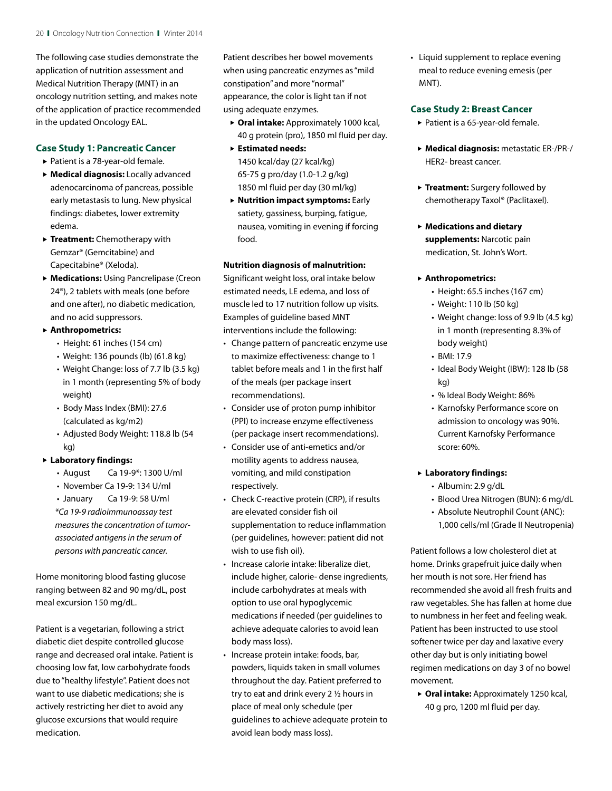The following case studies demonstrate the application of nutrition assessment and Medical Nutrition Therapy (MNT) in an oncology nutrition setting, and makes note of the application of practice recommended in the updated Oncology EAL.

#### **Case Study 1: Pancreatic Cancer**

- Patient is a 78-year-old female.
- **Medical diagnosis:** Locally advanced adenocarcinoma of pancreas, possible early metastasis to lung. New physical findings: diabetes, lower extremity edema.
- **Treatment:** Chemotherapy with Gemzar® (Gemcitabine) and Capecitabine® (Xeloda).
- **Medications:** Using Pancrelipase (Creon 24®), 2 tablets with meals (one before and one after), no diabetic medication, and no acid suppressors.
- **Anthropometrics:**
	- Height: 61 inches (154 cm)
	- Weight: 136 pounds (lb) (61.8 kg)
	- Weight Change: loss of 7.7 lb (3.5 kg) in 1 month (representing 5% of body weight)
	- Body Mass Index (BMI): 27.6 (calculated as kg/m2)
	- Adjusted Body Weight: 118.8 lb (54 kg)

#### **Laboratory findings:**

- August Ca 19-9\*: 1300 U/ml
- November Ca 19-9: 134 U/ml
- January Ca 19-9: 58 U/ml *\*Ca 19-9 radioimmunoassay test measures the concentration of tumorassociated antigens in the serum of persons with pancreatic cancer.*

Home monitoring blood fasting glucose ranging between 82 and 90 mg/dL, post meal excursion 150 mg/dL.

Patient is a vegetarian, following a strict diabetic diet despite controlled glucose range and decreased oral intake. Patient is choosing low fat, low carbohydrate foods due to "healthy lifestyle". Patient does not want to use diabetic medications; she is actively restricting her diet to avoid any glucose excursions that would require medication.

Patient describes her bowel movements when using pancreatic enzymes as "mild constipation" and more "normal" appearance, the color is light tan if not using adequate enzymes.

- **Oral intake:** Approximately 1000 kcal, 40 g protein (pro), 1850 ml fluid per day.
- **Estimated needs:**  1450 kcal/day (27 kcal/kg) 65-75 g pro/day (1.0-1.2 g/kg) 1850 ml fluid per day (30 ml/kg)
- **Nutrition impact symptoms:** Early satiety, gassiness, burping, fatigue, nausea, vomiting in evening if forcing food.

#### **Nutrition diagnosis of malnutrition:**

Significant weight loss, oral intake below estimated needs, LE edema, and loss of muscle led to 17 nutrition follow up visits. Examples of guideline based MNT interventions include the following:

- Change pattern of pancreatic enzyme use to maximize effectiveness: change to 1 tablet before meals and 1 in the first half of the meals (per package insert recommendations).
- Consider use of proton pump inhibitor (PPI) to increase enzyme effectiveness (per package insert recommendations).
- Consider use of anti-emetics and/or motility agents to address nausea, vomiting, and mild constipation respectively.
- Check C-reactive protein (CRP), if results are elevated consider fish oil supplementation to reduce inflammation (per guidelines, however: patient did not wish to use fish oil).
- Increase calorie intake: liberalize diet, include higher, calorie- dense ingredients, include carbohydrates at meals with option to use oral hypoglycemic medications if needed (per guidelines to achieve adequate calories to avoid lean body mass loss).
- Increase protein intake: foods, bar, powders, liquids taken in small volumes throughout the day. Patient preferred to try to eat and drink every 2 ½ hours in place of meal only schedule (per guidelines to achieve adequate protein to avoid lean body mass loss).

• Liquid supplement to replace evening meal to reduce evening emesis (per MNT).

#### **Case Study 2: Breast Cancer**

- ▶ Patient is a 65-year-old female.
- **Medical diagnosis:** metastatic ER-/PR-/ HER2- breast cancer.
- **Treatment:** Surgery followed by chemotherapy Taxol® (Paclitaxel).
- **Medications and dietary supplements:** Narcotic pain medication, St. John's Wort.

#### **Anthropometrics:**

- Height: 65.5 inches (167 cm)
- Weight: 110 lb (50 kg)
- Weight change: loss of 9.9 lb (4.5 kg) in 1 month (representing 8.3% of body weight)
- BMI: 17.9
- Ideal Body Weight (IBW): 128 lb (58 kg)
- % Ideal Body Weight: 86%
- Karnofsky Performance score on admission to oncology was 90%. Current Karnofsky Performance score: 60%.

#### **Laboratory findings:**

- Albumin: 2.9 g/dL
- Blood Urea Nitrogen (BUN): 6 mg/dL
- Absolute Neutrophil Count (ANC): 1,000 cells/ml (Grade II Neutropenia)

Patient follows a low cholesterol diet at home. Drinks grapefruit juice daily when her mouth is not sore. Her friend has recommended she avoid all fresh fruits and raw vegetables. She has fallen at home due to numbness in her feet and feeling weak. Patient has been instructed to use stool softener twice per day and laxative every other day but is only initiating bowel regimen medications on day 3 of no bowel movement.

 **Oral intake:** Approximately 1250 kcal, 40 g pro, 1200 ml fluid per day.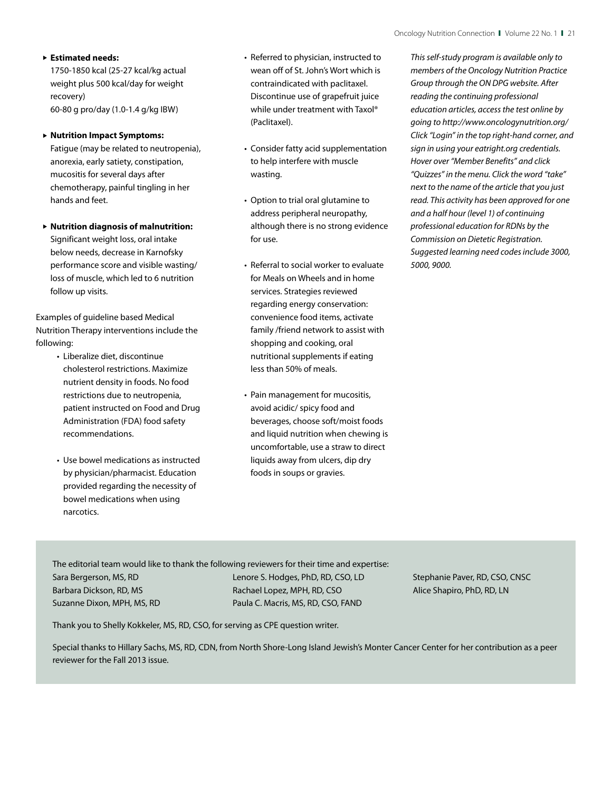#### **Estimated needs:**

1750-1850 kcal (25-27 kcal/kg actual weight plus 500 kcal/day for weight recovery) 60-80 g pro/day (1.0-1.4 g/kg IBW)

#### **Nutrition Impact Symptoms:**

Fatigue (may be related to neutropenia), anorexia, early satiety, constipation, mucositis for several days after chemotherapy, painful tingling in her hands and feet.

 **Nutrition diagnosis of malnutrition:**  Significant weight loss, oral intake below needs, decrease in Karnofsky performance score and visible wasting/ loss of muscle, which led to 6 nutrition follow up visits.

Examples of guideline based Medical Nutrition Therapy interventions include the following:

- Liberalize diet, discontinue cholesterol restrictions. Maximize nutrient density in foods. No food restrictions due to neutropenia, patient instructed on Food and Drug Administration (FDA) food safety recommendations.
- Use bowel medications as instructed by physician/pharmacist. Education provided regarding the necessity of bowel medications when using narcotics.
- Referred to physician, instructed to wean off of St. John's Wort which is contraindicated with paclitaxel. Discontinue use of grapefruit juice while under treatment with Taxol® (Paclitaxel).
- Consider fatty acid supplementation to help interfere with muscle wasting.
- Option to trial oral glutamine to address peripheral neuropathy, although there is no strong evidence for use.
- Referral to social worker to evaluate for Meals on Wheels and in home services. Strategies reviewed regarding energy conservation: convenience food items, activate family /friend network to assist with shopping and cooking, oral nutritional supplements if eating less than 50% of meals.
- Pain management for mucositis, avoid acidic/ spicy food and beverages, choose soft/moist foods and liquid nutrition when chewing is uncomfortable, use a straw to direct liquids away from ulcers, dip dry foods in soups or gravies.

*This self-study program is available only to members of the Oncology Nutrition Practice Group through the ON DPG website. After reading the continuing professional education articles, access the test online by going to http://www.oncologynutrition.org/ Click "Login" in the top right-hand corner, and sign in using your eatright.org credentials. Hover over "Member Benefits" and click "Quizzes" in the menu. Click the word "take" next to the name of the article that you just read. This activity has been approved for one and a half hour (level 1) of continuing professional education for RDNs by the Commission on Dietetic Registration. Suggested learning need codes include 3000, 5000, 9000.*

The editorial team would like to thank the following reviewers for their time and expertise:

Sara Bergerson, MS, RD Barbara Dickson, RD, MS Suzanne Dixon, MPH, MS, RD Lenore S. Hodges, PhD, RD, CSO, LD Rachael Lopez, MPH, RD, CSO Paula C. Macris, MS, RD, CSO, FAND

Stephanie Paver, RD, CSO, CNSC Alice Shapiro, PhD, RD, LN

Thank you to Shelly Kokkeler, MS, RD, CSO, for serving as CPE question writer.

Special thanks to Hillary Sachs, MS, RD, CDN, from North Shore-Long Island Jewish's Monter Cancer Center for her contribution as a peer reviewer for the Fall 2013 issue.